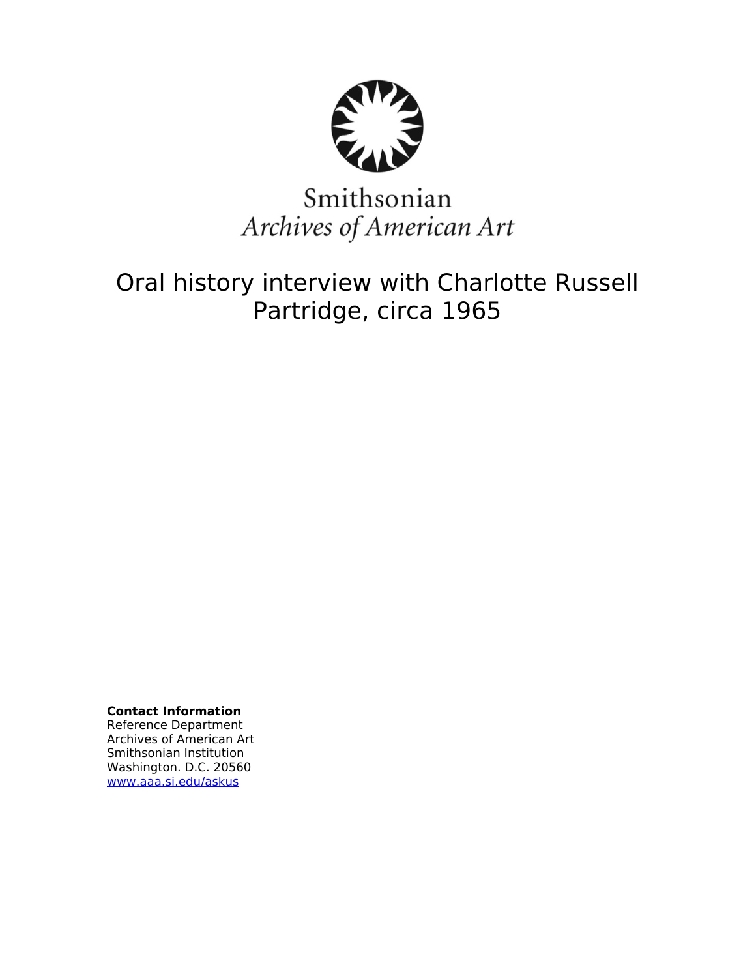

# Smithsonian Archives of American Art

Oral history interview with Charlotte Russell Partridge, circa 1965

**Contact Information** Reference Department Archives of American Art Smithsonian Institution Washington. D.C. 20560 [www.aaa.si.edu/askus](http://www.aaa.si.edu/askus)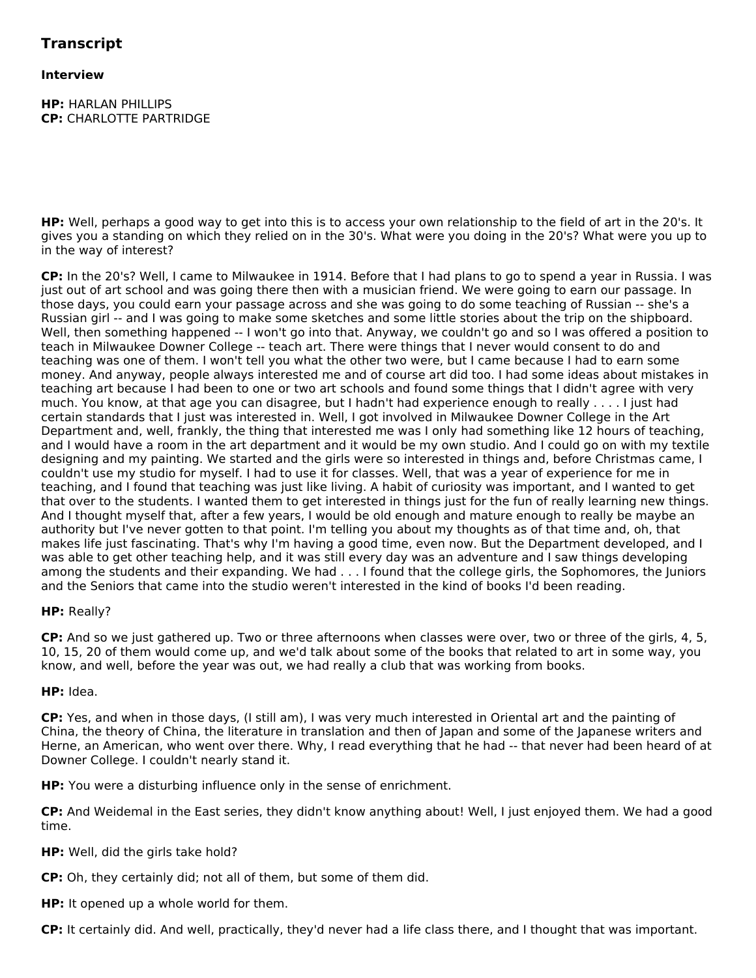# **Interview**

**HP:** HARLAN PHILLIPS **CP:** CHARLOTTE PARTRIDGE

**HP:** Well, perhaps a good way to get into this is to access your own relationship to the field of art in the 20's. It gives you a standing on which they relied on in the 30's. What were you doing in the 20's? What were you up to in the way of interest?

**CP:** In the 20's? Well, I came to Milwaukee in 1914. Before that I had plans to go to spend a year in Russia. I was just out of art school and was going there then with a musician friend. We were going to earn our passage. In those days, you could earn your passage across and she was going to do some teaching of Russian -- she's a Russian girl -- and I was going to make some sketches and some little stories about the trip on the shipboard. Well, then something happened -- I won't go into that. Anyway, we couldn't go and so I was offered a position to teach in Milwaukee Downer College -- teach art. There were things that I never would consent to do and teaching was one of them. I won't tell you what the other two were, but I came because I had to earn some money. And anyway, people always interested me and of course art did too. I had some ideas about mistakes in teaching art because I had been to one or two art schools and found some things that I didn't agree with very much. You know, at that age you can disagree, but I hadn't had experience enough to really . . . . I just had certain standards that I just was interested in. Well, I got involved in Milwaukee Downer College in the Art Department and, well, frankly, the thing that interested me was I only had something like 12 hours of teaching, and I would have a room in the art department and it would be my own studio. And I could go on with my textile designing and my painting. We started and the girls were so interested in things and, before Christmas came, I couldn't use my studio for myself. I had to use it for classes. Well, that was a year of experience for me in teaching, and I found that teaching was just like living. A habit of curiosity was important, and I wanted to get that over to the students. I wanted them to get interested in things just for the fun of really learning new things. And I thought myself that, after a few years, I would be old enough and mature enough to really be maybe an authority but I've never gotten to that point. I'm telling you about my thoughts as of that time and, oh, that makes life just fascinating. That's why I'm having a good time, even now. But the Department developed, and I was able to get other teaching help, and it was still every day was an adventure and I saw things developing among the students and their expanding. We had . . . I found that the college girls, the Sophomores, the Juniors and the Seniors that came into the studio weren't interested in the kind of books I'd been reading.

# **HP:** Really?

**CP:** And so we just gathered up. Two or three afternoons when classes were over, two or three of the girls, 4, 5, 10, 15, 20 of them would come up, and we'd talk about some of the books that related to art in some way, you know, and well, before the year was out, we had really a club that was working from books.

# **HP:** Idea.

**CP:** Yes, and when in those days, (I still am), I was very much interested in Oriental art and the painting of China, the theory of China, the literature in translation and then of Japan and some of the Japanese writers and Herne, an American, who went over there. Why, I read everything that he had -- that never had been heard of at Downer College. I couldn't nearly stand it.

**HP:** You were a disturbing influence only in the sense of enrichment.

**CP:** And Weidemal in the East series, they didn't know anything about! Well, I just enjoyed them. We had a good time.

## **HP:** Well, did the girls take hold?

**CP:** Oh, they certainly did; not all of them, but some of them did.

**HP:** It opened up a whole world for them.

**CP:** It certainly did. And well, practically, they'd never had a life class there, and I thought that was important.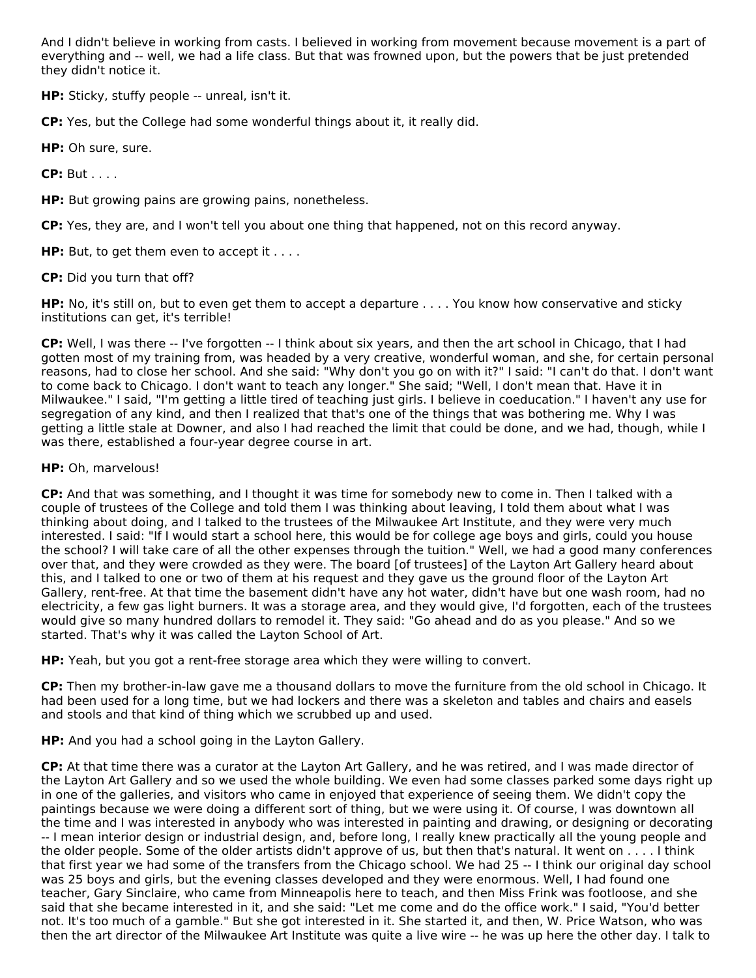And I didn't believe in working from casts. I believed in working from movement because movement is a part of everything and -- well, we had a life class. But that was frowned upon, but the powers that be just pretended they didn't notice it.

**HP:** Sticky, stuffy people -- unreal, isn't it.

**CP:** Yes, but the College had some wonderful things about it, it really did.

**HP:** Oh sure, sure.

**CP:** But . . . .

**HP:** But growing pains are growing pains, nonetheless.

**CP:** Yes, they are, and I won't tell you about one thing that happened, not on this record anyway.

**HP:** But, to get them even to accept it . . . .

**CP:** Did you turn that off?

**HP:** No, it's still on, but to even get them to accept a departure . . . . You know how conservative and sticky institutions can get, it's terrible!

**CP:** Well, I was there -- I've forgotten -- I think about six years, and then the art school in Chicago, that I had gotten most of my training from, was headed by a very creative, wonderful woman, and she, for certain personal reasons, had to close her school. And she said: "Why don't you go on with it?" I said: "I can't do that. I don't want to come back to Chicago. I don't want to teach any longer." She said; "Well, I don't mean that. Have it in Milwaukee." I said, "I'm getting a little tired of teaching just girls. I believe in coeducation." I haven't any use for segregation of any kind, and then I realized that that's one of the things that was bothering me. Why I was getting a little stale at Downer, and also I had reached the limit that could be done, and we had, though, while I was there, established a four-year degree course in art.

# **HP:** Oh, marvelous!

**CP:** And that was something, and I thought it was time for somebody new to come in. Then I talked with a couple of trustees of the College and told them I was thinking about leaving, I told them about what I was thinking about doing, and I talked to the trustees of the Milwaukee Art Institute, and they were very much interested. I said: "If I would start a school here, this would be for college age boys and girls, could you house the school? I will take care of all the other expenses through the tuition." Well, we had a good many conferences over that, and they were crowded as they were. The board [of trustees] of the Layton Art Gallery heard about this, and I talked to one or two of them at his request and they gave us the ground floor of the Layton Art Gallery, rent-free. At that time the basement didn't have any hot water, didn't have but one wash room, had no electricity, a few gas light burners. It was a storage area, and they would give, I'd forgotten, each of the trustees would give so many hundred dollars to remodel it. They said: "Go ahead and do as you please." And so we started. That's why it was called the Layton School of Art.

**HP:** Yeah, but you got a rent-free storage area which they were willing to convert.

**CP:** Then my brother-in-law gave me a thousand dollars to move the furniture from the old school in Chicago. It had been used for a long time, but we had lockers and there was a skeleton and tables and chairs and easels and stools and that kind of thing which we scrubbed up and used.

**HP:** And you had a school going in the Layton Gallery.

**CP:** At that time there was a curator at the Layton Art Gallery, and he was retired, and I was made director of the Layton Art Gallery and so we used the whole building. We even had some classes parked some days right up in one of the galleries, and visitors who came in enjoyed that experience of seeing them. We didn't copy the paintings because we were doing a different sort of thing, but we were using it. Of course, I was downtown all the time and I was interested in anybody who was interested in painting and drawing, or designing or decorating -- I mean interior design or industrial design, and, before long, I really knew practically all the young people and the older people. Some of the older artists didn't approve of us, but then that's natural. It went on . . . . I think that first year we had some of the transfers from the Chicago school. We had 25 -- I think our original day school was 25 boys and girls, but the evening classes developed and they were enormous. Well, I had found one teacher, Gary Sinclaire, who came from Minneapolis here to teach, and then Miss Frink was footloose, and she said that she became interested in it, and she said: "Let me come and do the office work." I said, "You'd better not. It's too much of a gamble." But she got interested in it. She started it, and then, W. Price Watson, who was then the art director of the Milwaukee Art Institute was quite a live wire -- he was up here the other day. I talk to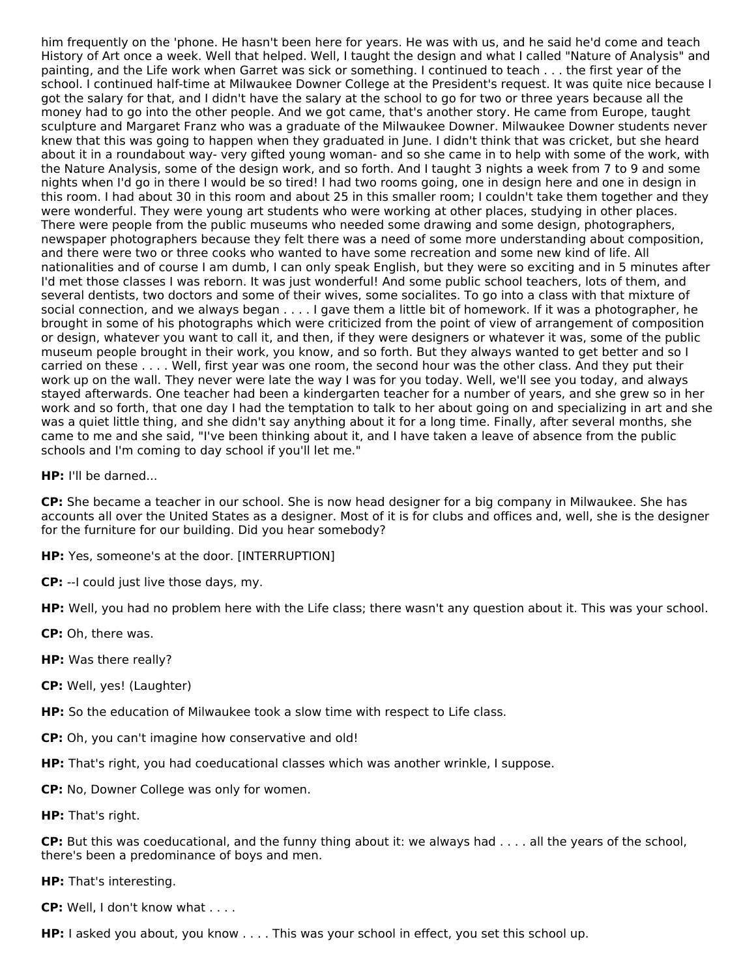him frequently on the 'phone. He hasn't been here for years. He was with us, and he said he'd come and teach History of Art once a week. Well that helped. Well, I taught the design and what I called "Nature of Analysis" and painting, and the Life work when Garret was sick or something. I continued to teach . . . the first year of the school. I continued half-time at Milwaukee Downer College at the President's request. It was quite nice because I got the salary for that, and I didn't have the salary at the school to go for two or three years because all the money had to go into the other people. And we got came, that's another story. He came from Europe, taught sculpture and Margaret Franz who was a graduate of the Milwaukee Downer. Milwaukee Downer students never knew that this was going to happen when they graduated in June. I didn't think that was cricket, but she heard about it in a roundabout way- very gifted young woman- and so she came in to help with some of the work, with the Nature Analysis, some of the design work, and so forth. And I taught 3 nights a week from 7 to 9 and some nights when I'd go in there I would be so tired! I had two rooms going, one in design here and one in design in this room. I had about 30 in this room and about 25 in this smaller room; I couldn't take them together and they were wonderful. They were young art students who were working at other places, studying in other places. There were people from the public museums who needed some drawing and some design, photographers, newspaper photographers because they felt there was a need of some more understanding about composition, and there were two or three cooks who wanted to have some recreation and some new kind of life. All nationalities and of course I am dumb, I can only speak English, but they were so exciting and in 5 minutes after I'd met those classes I was reborn. It was just wonderful! And some public school teachers, lots of them, and several dentists, two doctors and some of their wives, some socialites. To go into a class with that mixture of social connection, and we always began . . . . I gave them a little bit of homework. If it was a photographer, he brought in some of his photographs which were criticized from the point of view of arrangement of composition or design, whatever you want to call it, and then, if they were designers or whatever it was, some of the public museum people brought in their work, you know, and so forth. But they always wanted to get better and so I carried on these . . . . Well, first year was one room, the second hour was the other class. And they put their work up on the wall. They never were late the way I was for you today. Well, we'll see you today, and always stayed afterwards. One teacher had been a kindergarten teacher for a number of years, and she grew so in her work and so forth, that one day I had the temptation to talk to her about going on and specializing in art and she was a quiet little thing, and she didn't say anything about it for a long time. Finally, after several months, she came to me and she said, "I've been thinking about it, and I have taken a leave of absence from the public schools and I'm coming to day school if you'll let me."

**HP:** I'll be darned...

**CP:** She became a teacher in our school. She is now head designer for a big company in Milwaukee. She has accounts all over the United States as a designer. Most of it is for clubs and offices and, well, she is the designer for the furniture for our building. Did you hear somebody?

**HP:** Yes, someone's at the door. [INTERRUPTION]

**CP:** --I could just live those days, my.

**HP:** Well, you had no problem here with the Life class; there wasn't any question about it. This was your school.

**CP:** Oh, there was.

**HP:** Was there really?

**CP:** Well, yes! (Laughter)

**HP:** So the education of Milwaukee took a slow time with respect to Life class.

**CP:** Oh, you can't imagine how conservative and old!

**HP:** That's right, you had coeducational classes which was another wrinkle, I suppose.

**CP:** No, Downer College was only for women.

**HP:** That's right.

**CP:** But this was coeducational, and the funny thing about it: we always had . . . . all the years of the school, there's been a predominance of boys and men.

**HP:** That's interesting.

**CP:** Well, I don't know what . . . .

**HP:** I asked you about, you know . . . . This was your school in effect, you set this school up.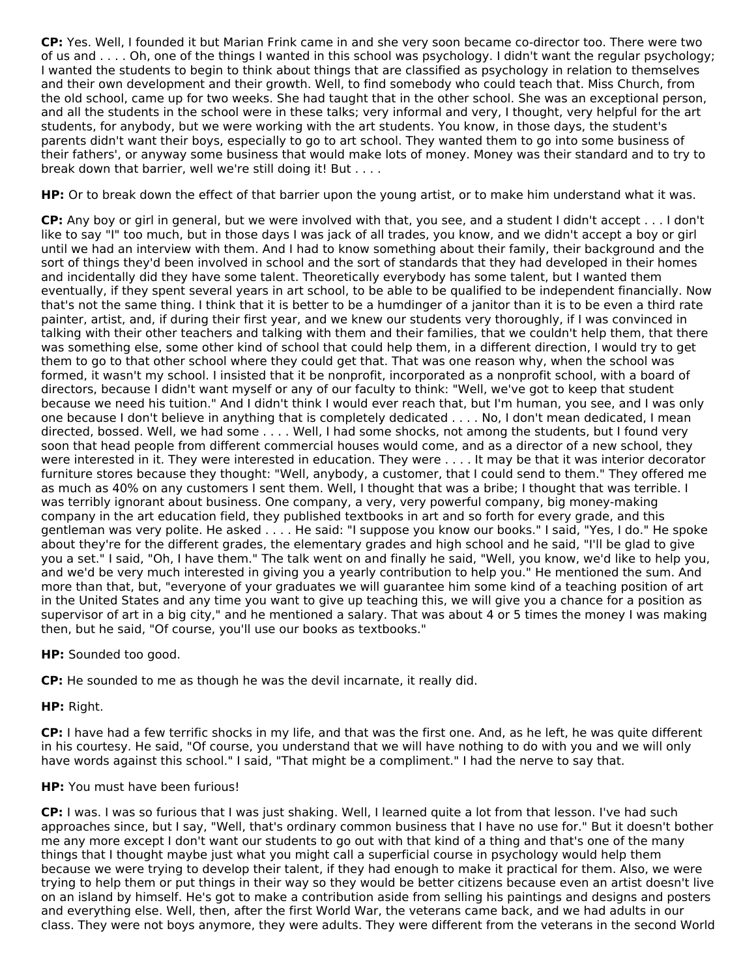**CP:** Yes. Well, I founded it but Marian Frink came in and she very soon became co-director too. There were two of us and . . . . Oh, one of the things I wanted in this school was psychology. I didn't want the regular psychology; I wanted the students to begin to think about things that are classified as psychology in relation to themselves and their own development and their growth. Well, to find somebody who could teach that. Miss Church, from the old school, came up for two weeks. She had taught that in the other school. She was an exceptional person, and all the students in the school were in these talks; very informal and very, I thought, very helpful for the art students, for anybody, but we were working with the art students. You know, in those days, the student's parents didn't want their boys, especially to go to art school. They wanted them to go into some business of their fathers', or anyway some business that would make lots of money. Money was their standard and to try to break down that barrier, well we're still doing it! But . . . .

**HP:** Or to break down the effect of that barrier upon the young artist, or to make him understand what it was.

**CP:** Any boy or girl in general, but we were involved with that, you see, and a student I didn't accept . . . I don't like to say "I" too much, but in those days I was jack of all trades, you know, and we didn't accept a boy or girl until we had an interview with them. And I had to know something about their family, their background and the sort of things they'd been involved in school and the sort of standards that they had developed in their homes and incidentally did they have some talent. Theoretically everybody has some talent, but I wanted them eventually, if they spent several years in art school, to be able to be qualified to be independent financially. Now that's not the same thing. I think that it is better to be a humdinger of a janitor than it is to be even a third rate painter, artist, and, if during their first year, and we knew our students very thoroughly, if I was convinced in talking with their other teachers and talking with them and their families, that we couldn't help them, that there was something else, some other kind of school that could help them, in a different direction, I would try to get them to go to that other school where they could get that. That was one reason why, when the school was formed, it wasn't my school. I insisted that it be nonprofit, incorporated as a nonprofit school, with a board of directors, because I didn't want myself or any of our faculty to think: "Well, we've got to keep that student because we need his tuition." And I didn't think I would ever reach that, but I'm human, you see, and I was only one because I don't believe in anything that is completely dedicated . . . . No, I don't mean dedicated, I mean directed, bossed. Well, we had some . . . . Well, I had some shocks, not among the students, but I found very soon that head people from different commercial houses would come, and as a director of a new school, they were interested in it. They were interested in education. They were . . . . It may be that it was interior decorator furniture stores because they thought: "Well, anybody, a customer, that I could send to them." They offered me as much as 40% on any customers I sent them. Well, I thought that was a bribe; I thought that was terrible. I was terribly ignorant about business. One company, a very, very powerful company, big money-making company in the art education field, they published textbooks in art and so forth for every grade, and this gentleman was very polite. He asked . . . . He said: "I suppose you know our books." I said, "Yes, I do." He spoke about they're for the different grades, the elementary grades and high school and he said, "I'll be glad to give you a set." I said, "Oh, I have them." The talk went on and finally he said, "Well, you know, we'd like to help you, and we'd be very much interested in giving you a yearly contribution to help you." He mentioned the sum. And more than that, but, "everyone of your graduates we will guarantee him some kind of a teaching position of art in the United States and any time you want to give up teaching this, we will give you a chance for a position as supervisor of art in a big city," and he mentioned a salary. That was about 4 or 5 times the money I was making then, but he said, "Of course, you'll use our books as textbooks."

**HP:** Sounded too good.

**CP:** He sounded to me as though he was the devil incarnate, it really did.

**HP:** Right.

**CP:** I have had a few terrific shocks in my life, and that was the first one. And, as he left, he was quite different in his courtesy. He said, "Of course, you understand that we will have nothing to do with you and we will only have words against this school." I said, "That might be a compliment." I had the nerve to say that.

## **HP:** You must have been furious!

**CP:** I was. I was so furious that I was just shaking. Well, I learned quite a lot from that lesson. I've had such approaches since, but I say, "Well, that's ordinary common business that I have no use for." But it doesn't bother me any more except I don't want our students to go out with that kind of a thing and that's one of the many things that I thought maybe just what you might call a superficial course in psychology would help them because we were trying to develop their talent, if they had enough to make it practical for them. Also, we were trying to help them or put things in their way so they would be better citizens because even an artist doesn't live on an island by himself. He's got to make a contribution aside from selling his paintings and designs and posters and everything else. Well, then, after the first World War, the veterans came back, and we had adults in our class. They were not boys anymore, they were adults. They were different from the veterans in the second World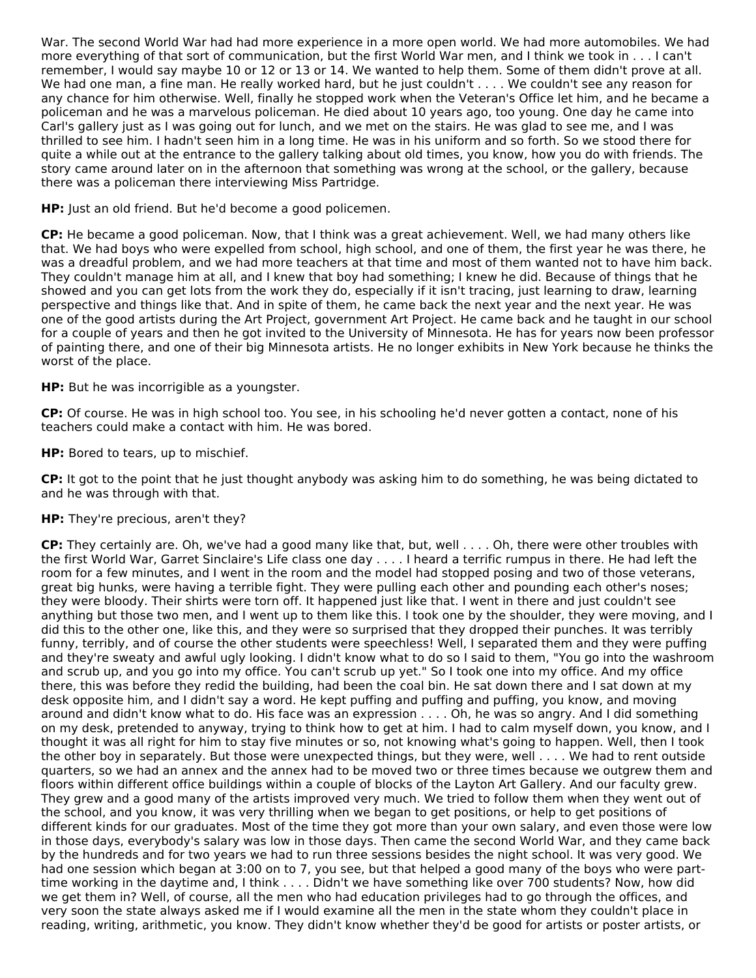War. The second World War had had more experience in a more open world. We had more automobiles. We had more everything of that sort of communication, but the first World War men, and I think we took in . . . I can't remember, I would say maybe 10 or 12 or 13 or 14. We wanted to help them. Some of them didn't prove at all. We had one man, a fine man. He really worked hard, but he just couldn't . . . . We couldn't see any reason for any chance for him otherwise. Well, finally he stopped work when the Veteran's Office let him, and he became a policeman and he was a marvelous policeman. He died about 10 years ago, too young. One day he came into Carl's gallery just as I was going out for lunch, and we met on the stairs. He was glad to see me, and I was thrilled to see him. I hadn't seen him in a long time. He was in his uniform and so forth. So we stood there for quite a while out at the entrance to the gallery talking about old times, you know, how you do with friends. The story came around later on in the afternoon that something was wrong at the school, or the gallery, because there was a policeman there interviewing Miss Partridge.

**HP:** Just an old friend. But he'd become a good policemen.

**CP:** He became a good policeman. Now, that I think was a great achievement. Well, we had many others like that. We had boys who were expelled from school, high school, and one of them, the first year he was there, he was a dreadful problem, and we had more teachers at that time and most of them wanted not to have him back. They couldn't manage him at all, and I knew that boy had something; I knew he did. Because of things that he showed and you can get lots from the work they do, especially if it isn't tracing, just learning to draw, learning perspective and things like that. And in spite of them, he came back the next year and the next year. He was one of the good artists during the Art Project, government Art Project. He came back and he taught in our school for a couple of years and then he got invited to the University of Minnesota. He has for years now been professor of painting there, and one of their big Minnesota artists. He no longer exhibits in New York because he thinks the worst of the place.

**HP:** But he was incorrigible as a youngster.

**CP:** Of course. He was in high school too. You see, in his schooling he'd never gotten a contact, none of his teachers could make a contact with him. He was bored.

**HP:** Bored to tears, up to mischief.

**CP:** It got to the point that he just thought anybody was asking him to do something, he was being dictated to and he was through with that.

## **HP:** They're precious, aren't they?

**CP:** They certainly are. Oh, we've had a good many like that, but, well . . . . Oh, there were other troubles with the first World War, Garret Sinclaire's Life class one day . . . . I heard a terrific rumpus in there. He had left the room for a few minutes, and I went in the room and the model had stopped posing and two of those veterans, great big hunks, were having a terrible fight. They were pulling each other and pounding each other's noses; they were bloody. Their shirts were torn off. It happened just like that. I went in there and just couldn't see anything but those two men, and I went up to them like this. I took one by the shoulder, they were moving, and I did this to the other one, like this, and they were so surprised that they dropped their punches. It was terribly funny, terribly, and of course the other students were speechless! Well, I separated them and they were puffing and they're sweaty and awful ugly looking. I didn't know what to do so I said to them, "You go into the washroom and scrub up, and you go into my office. You can't scrub up yet." So I took one into my office. And my office there, this was before they redid the building, had been the coal bin. He sat down there and I sat down at my desk opposite him, and I didn't say a word. He kept puffing and puffing and puffing, you know, and moving around and didn't know what to do. His face was an expression . . . . Oh, he was so angry. And I did something on my desk, pretended to anyway, trying to think how to get at him. I had to calm myself down, you know, and I thought it was all right for him to stay five minutes or so, not knowing what's going to happen. Well, then I took the other boy in separately. But those were unexpected things, but they were, well . . . . We had to rent outside quarters, so we had an annex and the annex had to be moved two or three times because we outgrew them and floors within different office buildings within a couple of blocks of the Layton Art Gallery. And our faculty grew. They grew and a good many of the artists improved very much. We tried to follow them when they went out of the school, and you know, it was very thrilling when we began to get positions, or help to get positions of different kinds for our graduates. Most of the time they got more than your own salary, and even those were low in those days, everybody's salary was low in those days. Then came the second World War, and they came back by the hundreds and for two years we had to run three sessions besides the night school. It was very good. We had one session which began at 3:00 on to 7, you see, but that helped a good many of the boys who were parttime working in the daytime and, I think . . . . Didn't we have something like over 700 students? Now, how did we get them in? Well, of course, all the men who had education privileges had to go through the offices, and very soon the state always asked me if I would examine all the men in the state whom they couldn't place in reading, writing, arithmetic, you know. They didn't know whether they'd be good for artists or poster artists, or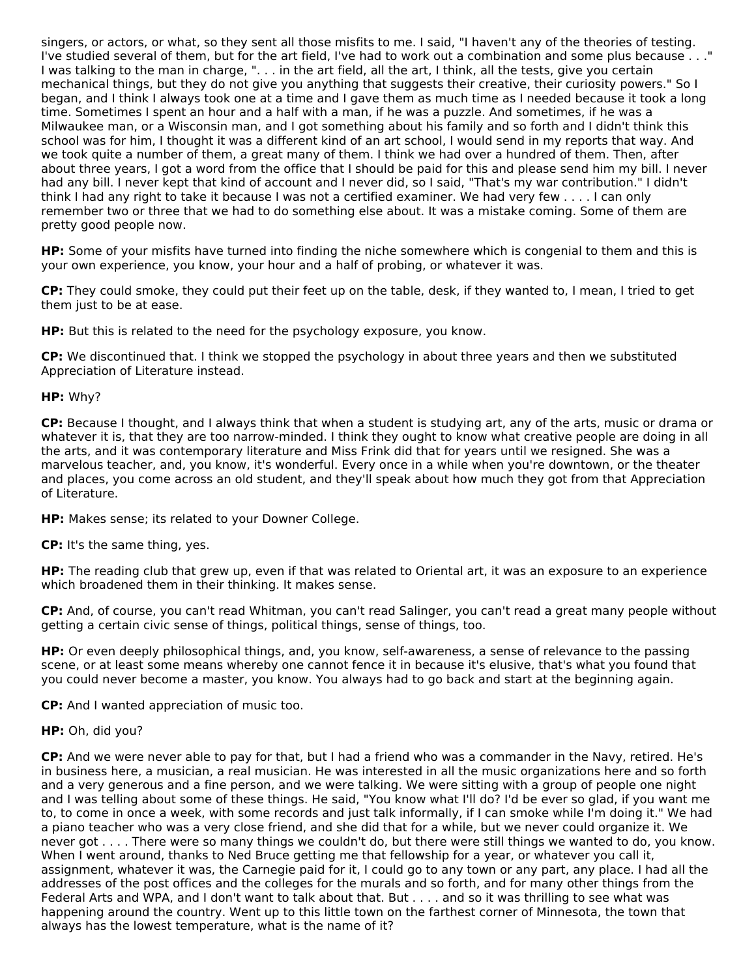singers, or actors, or what, so they sent all those misfits to me. I said, "I haven't any of the theories of testing. I've studied several of them, but for the art field, I've had to work out a combination and some plus because . . ." I was talking to the man in charge, ". . . in the art field, all the art, I think, all the tests, give you certain mechanical things, but they do not give you anything that suggests their creative, their curiosity powers." So I began, and I think I always took one at a time and I gave them as much time as I needed because it took a long time. Sometimes I spent an hour and a half with a man, if he was a puzzle. And sometimes, if he was a Milwaukee man, or a Wisconsin man, and I got something about his family and so forth and I didn't think this school was for him, I thought it was a different kind of an art school, I would send in my reports that way. And we took quite a number of them, a great many of them. I think we had over a hundred of them. Then, after about three years, I got a word from the office that I should be paid for this and please send him my bill. I never had any bill. I never kept that kind of account and I never did, so I said, "That's my war contribution." I didn't think I had any right to take it because I was not a certified examiner. We had very few . . . . I can only remember two or three that we had to do something else about. It was a mistake coming. Some of them are pretty good people now.

**HP:** Some of your misfits have turned into finding the niche somewhere which is congenial to them and this is your own experience, you know, your hour and a half of probing, or whatever it was.

**CP:** They could smoke, they could put their feet up on the table, desk, if they wanted to, I mean, I tried to get them just to be at ease.

**HP:** But this is related to the need for the psychology exposure, you know.

**CP:** We discontinued that. I think we stopped the psychology in about three years and then we substituted Appreciation of Literature instead.

# **HP:** Why?

**CP:** Because I thought, and I always think that when a student is studying art, any of the arts, music or drama or whatever it is, that they are too narrow-minded. I think they ought to know what creative people are doing in all the arts, and it was contemporary literature and Miss Frink did that for years until we resigned. She was a marvelous teacher, and, you know, it's wonderful. Every once in a while when you're downtown, or the theater and places, you come across an old student, and they'll speak about how much they got from that Appreciation of Literature.

**HP:** Makes sense; its related to your Downer College.

**CP:** It's the same thing, yes.

**HP:** The reading club that grew up, even if that was related to Oriental art, it was an exposure to an experience which broadened them in their thinking. It makes sense.

**CP:** And, of course, you can't read Whitman, you can't read Salinger, you can't read a great many people without getting a certain civic sense of things, political things, sense of things, too.

**HP:** Or even deeply philosophical things, and, you know, self-awareness, a sense of relevance to the passing scene, or at least some means whereby one cannot fence it in because it's elusive, that's what you found that you could never become a master, you know. You always had to go back and start at the beginning again.

**CP:** And I wanted appreciation of music too.

## **HP:** Oh, did you?

**CP:** And we were never able to pay for that, but I had a friend who was a commander in the Navy, retired. He's in business here, a musician, a real musician. He was interested in all the music organizations here and so forth and a very generous and a fine person, and we were talking. We were sitting with a group of people one night and I was telling about some of these things. He said, "You know what I'll do? I'd be ever so glad, if you want me to, to come in once a week, with some records and just talk informally, if I can smoke while I'm doing it." We had a piano teacher who was a very close friend, and she did that for a while, but we never could organize it. We never got . . . . There were so many things we couldn't do, but there were still things we wanted to do, you know. When I went around, thanks to Ned Bruce getting me that fellowship for a year, or whatever you call it, assignment, whatever it was, the Carnegie paid for it, I could go to any town or any part, any place. I had all the addresses of the post offices and the colleges for the murals and so forth, and for many other things from the Federal Arts and WPA, and I don't want to talk about that. But . . . . and so it was thrilling to see what was happening around the country. Went up to this little town on the farthest corner of Minnesota, the town that always has the lowest temperature, what is the name of it?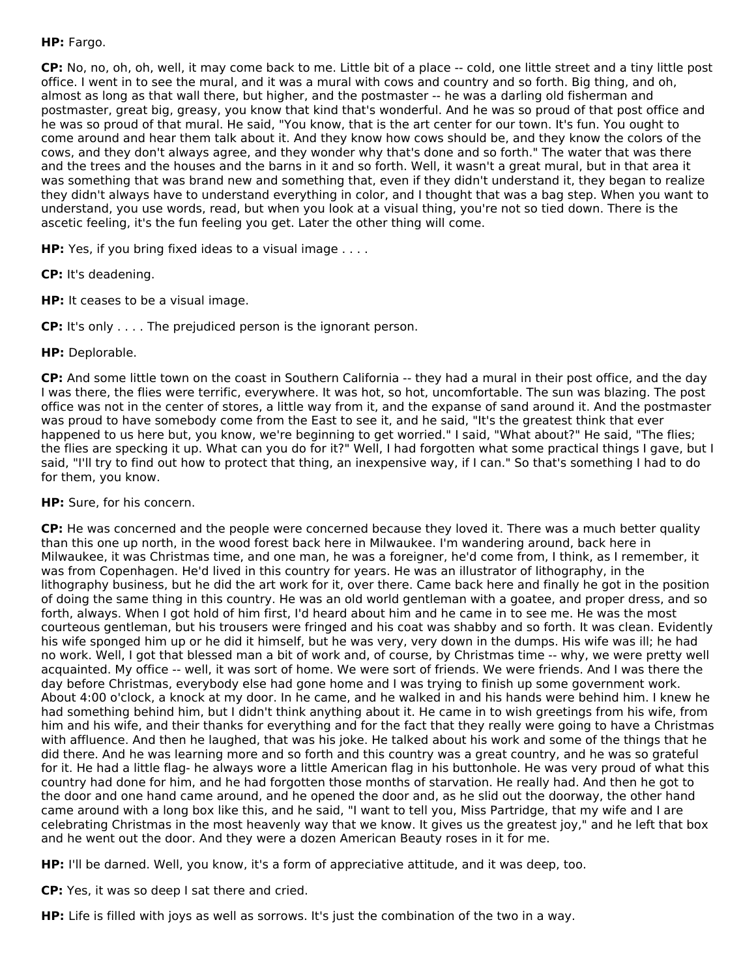# **HP:** Fargo.

**CP:** No, no, oh, oh, well, it may come back to me. Little bit of a place -- cold, one little street and a tiny little post office. I went in to see the mural, and it was a mural with cows and country and so forth. Big thing, and oh, almost as long as that wall there, but higher, and the postmaster -- he was a darling old fisherman and postmaster, great big, greasy, you know that kind that's wonderful. And he was so proud of that post office and he was so proud of that mural. He said, "You know, that is the art center for our town. It's fun. You ought to come around and hear them talk about it. And they know how cows should be, and they know the colors of the cows, and they don't always agree, and they wonder why that's done and so forth." The water that was there and the trees and the houses and the barns in it and so forth. Well, it wasn't a great mural, but in that area it was something that was brand new and something that, even if they didn't understand it, they began to realize they didn't always have to understand everything in color, and I thought that was a bag step. When you want to understand, you use words, read, but when you look at a visual thing, you're not so tied down. There is the ascetic feeling, it's the fun feeling you get. Later the other thing will come.

**HP:** Yes, if you bring fixed ideas to a visual image . . . .

**CP:** It's deadening.

**HP:** It ceases to be a visual image.

**CP:** It's only . . . . The prejudiced person is the ignorant person.

# **HP:** Deplorable.

**CP:** And some little town on the coast in Southern California -- they had a mural in their post office, and the day I was there, the flies were terrific, everywhere. It was hot, so hot, uncomfortable. The sun was blazing. The post office was not in the center of stores, a little way from it, and the expanse of sand around it. And the postmaster was proud to have somebody come from the East to see it, and he said, "It's the greatest think that ever happened to us here but, you know, we're beginning to get worried." I said, "What about?" He said, "The flies; the flies are specking it up. What can you do for it?" Well, I had forgotten what some practical things I gave, but I said, "I'll try to find out how to protect that thing, an inexpensive way, if I can." So that's something I had to do for them, you know.

**HP:** Sure, for his concern.

**CP:** He was concerned and the people were concerned because they loved it. There was a much better quality than this one up north, in the wood forest back here in Milwaukee. I'm wandering around, back here in Milwaukee, it was Christmas time, and one man, he was a foreigner, he'd come from, I think, as I remember, it was from Copenhagen. He'd lived in this country for years. He was an illustrator of lithography, in the lithography business, but he did the art work for it, over there. Came back here and finally he got in the position of doing the same thing in this country. He was an old world gentleman with a goatee, and proper dress, and so forth, always. When I got hold of him first, I'd heard about him and he came in to see me. He was the most courteous gentleman, but his trousers were fringed and his coat was shabby and so forth. It was clean. Evidently his wife sponged him up or he did it himself, but he was very, very down in the dumps. His wife was ill; he had no work. Well, I got that blessed man a bit of work and, of course, by Christmas time -- why, we were pretty well acquainted. My office -- well, it was sort of home. We were sort of friends. We were friends. And I was there the day before Christmas, everybody else had gone home and I was trying to finish up some government work. About 4:00 o'clock, a knock at my door. In he came, and he walked in and his hands were behind him. I knew he had something behind him, but I didn't think anything about it. He came in to wish greetings from his wife, from him and his wife, and their thanks for everything and for the fact that they really were going to have a Christmas with affluence. And then he laughed, that was his joke. He talked about his work and some of the things that he did there. And he was learning more and so forth and this country was a great country, and he was so grateful for it. He had a little flag- he always wore a little American flag in his buttonhole. He was very proud of what this country had done for him, and he had forgotten those months of starvation. He really had. And then he got to the door and one hand came around, and he opened the door and, as he slid out the doorway, the other hand came around with a long box like this, and he said, "I want to tell you, Miss Partridge, that my wife and I are celebrating Christmas in the most heavenly way that we know. It gives us the greatest joy," and he left that box and he went out the door. And they were a dozen American Beauty roses in it for me.

**HP:** I'll be darned. Well, you know, it's a form of appreciative attitude, and it was deep, too.

**CP:** Yes, it was so deep I sat there and cried.

**HP:** Life is filled with joys as well as sorrows. It's just the combination of the two in a way.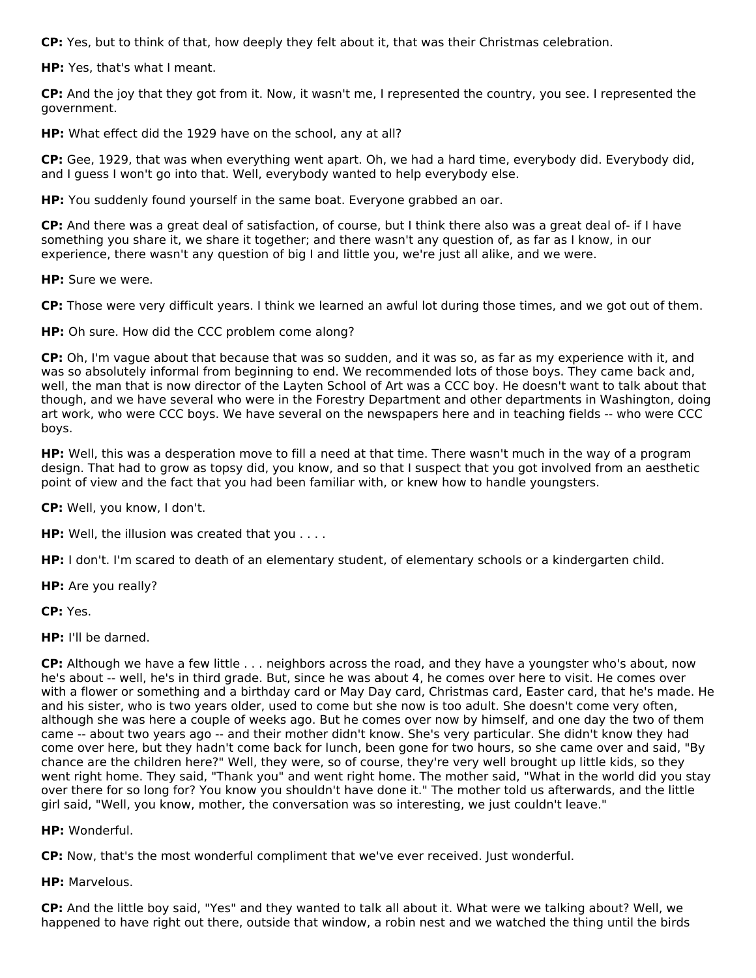**CP:** Yes, but to think of that, how deeply they felt about it, that was their Christmas celebration.

**HP:** Yes, that's what I meant.

**CP:** And the joy that they got from it. Now, it wasn't me, I represented the country, you see. I represented the government.

**HP:** What effect did the 1929 have on the school, any at all?

**CP:** Gee, 1929, that was when everything went apart. Oh, we had a hard time, everybody did. Everybody did, and I guess I won't go into that. Well, everybody wanted to help everybody else.

**HP:** You suddenly found yourself in the same boat. Everyone grabbed an oar.

**CP:** And there was a great deal of satisfaction, of course, but I think there also was a great deal of- if I have something you share it, we share it together; and there wasn't any question of, as far as I know, in our experience, there wasn't any question of big I and little you, we're just all alike, and we were.

**HP:** Sure we were.

**CP:** Those were very difficult years. I think we learned an awful lot during those times, and we got out of them.

**HP:** Oh sure. How did the CCC problem come along?

**CP:** Oh, I'm vague about that because that was so sudden, and it was so, as far as my experience with it, and was so absolutely informal from beginning to end. We recommended lots of those boys. They came back and, well, the man that is now director of the Layten School of Art was a CCC boy. He doesn't want to talk about that though, and we have several who were in the Forestry Department and other departments in Washington, doing art work, who were CCC boys. We have several on the newspapers here and in teaching fields -- who were CCC boys.

**HP:** Well, this was a desperation move to fill a need at that time. There wasn't much in the way of a program design. That had to grow as topsy did, you know, and so that I suspect that you got involved from an aesthetic point of view and the fact that you had been familiar with, or knew how to handle youngsters.

**CP:** Well, you know, I don't.

**HP:** Well, the illusion was created that you . . . .

**HP:** I don't. I'm scared to death of an elementary student, of elementary schools or a kindergarten child.

**HP:** Are you really?

**CP:** Yes.

**HP:** I'll be darned.

**CP:** Although we have a few little . . . neighbors across the road, and they have a youngster who's about, now he's about -- well, he's in third grade. But, since he was about 4, he comes over here to visit. He comes over with a flower or something and a birthday card or May Day card, Christmas card, Easter card, that he's made. He and his sister, who is two years older, used to come but she now is too adult. She doesn't come very often, although she was here a couple of weeks ago. But he comes over now by himself, and one day the two of them came -- about two years ago -- and their mother didn't know. She's very particular. She didn't know they had come over here, but they hadn't come back for lunch, been gone for two hours, so she came over and said, "By chance are the children here?" Well, they were, so of course, they're very well brought up little kids, so they went right home. They said, "Thank you" and went right home. The mother said, "What in the world did you stay over there for so long for? You know you shouldn't have done it." The mother told us afterwards, and the little girl said, "Well, you know, mother, the conversation was so interesting, we just couldn't leave."

**HP:** Wonderful.

**CP:** Now, that's the most wonderful compliment that we've ever received. Just wonderful.

**HP:** Marvelous.

**CP:** And the little boy said, "Yes" and they wanted to talk all about it. What were we talking about? Well, we happened to have right out there, outside that window, a robin nest and we watched the thing until the birds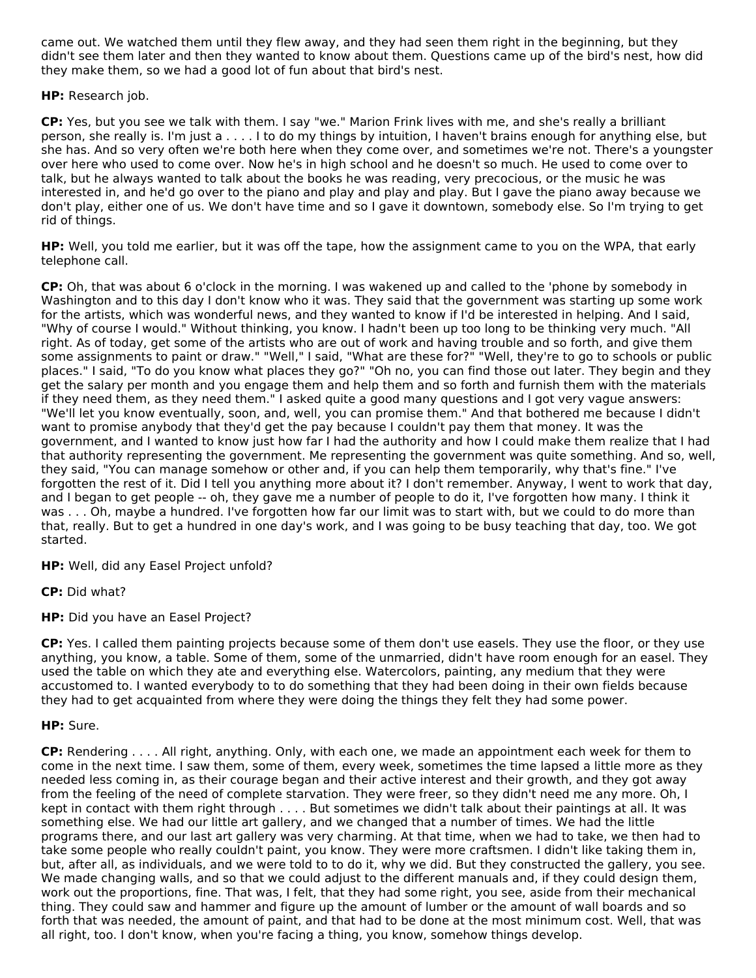came out. We watched them until they flew away, and they had seen them right in the beginning, but they didn't see them later and then they wanted to know about them. Questions came up of the bird's nest, how did they make them, so we had a good lot of fun about that bird's nest.

**HP:** Research job.

**CP:** Yes, but you see we talk with them. I say "we." Marion Frink lives with me, and she's really a brilliant person, she really is. I'm just a . . . . I to do my things by intuition, I haven't brains enough for anything else, but she has. And so very often we're both here when they come over, and sometimes we're not. There's a youngster over here who used to come over. Now he's in high school and he doesn't so much. He used to come over to talk, but he always wanted to talk about the books he was reading, very precocious, or the music he was interested in, and he'd go over to the piano and play and play and play. But I gave the piano away because we don't play, either one of us. We don't have time and so I gave it downtown, somebody else. So I'm trying to get rid of things.

**HP:** Well, you told me earlier, but it was off the tape, how the assignment came to you on the WPA, that early telephone call.

**CP:** Oh, that was about 6 o'clock in the morning. I was wakened up and called to the 'phone by somebody in Washington and to this day I don't know who it was. They said that the government was starting up some work for the artists, which was wonderful news, and they wanted to know if I'd be interested in helping. And I said, "Why of course I would." Without thinking, you know. I hadn't been up too long to be thinking very much. "All right. As of today, get some of the artists who are out of work and having trouble and so forth, and give them some assignments to paint or draw." "Well," I said, "What are these for?" "Well, they're to go to schools or public places." I said, "To do you know what places they go?" "Oh no, you can find those out later. They begin and they get the salary per month and you engage them and help them and so forth and furnish them with the materials if they need them, as they need them." I asked quite a good many questions and I got very vague answers: "We'll let you know eventually, soon, and, well, you can promise them." And that bothered me because I didn't want to promise anybody that they'd get the pay because I couldn't pay them that money. It was the government, and I wanted to know just how far I had the authority and how I could make them realize that I had that authority representing the government. Me representing the government was quite something. And so, well, they said, "You can manage somehow or other and, if you can help them temporarily, why that's fine." I've forgotten the rest of it. Did I tell you anything more about it? I don't remember. Anyway, I went to work that day, and I began to get people -- oh, they gave me a number of people to do it, I've forgotten how many. I think it was . . . Oh, maybe a hundred. I've forgotten how far our limit was to start with, but we could to do more than that, really. But to get a hundred in one day's work, and I was going to be busy teaching that day, too. We got started.

**HP:** Well, did any Easel Project unfold?

**CP:** Did what?

**HP:** Did you have an Easel Project?

**CP:** Yes. I called them painting projects because some of them don't use easels. They use the floor, or they use anything, you know, a table. Some of them, some of the unmarried, didn't have room enough for an easel. They used the table on which they ate and everything else. Watercolors, painting, any medium that they were accustomed to. I wanted everybody to to do something that they had been doing in their own fields because they had to get acquainted from where they were doing the things they felt they had some power.

# **HP:** Sure.

**CP:** Rendering . . . . All right, anything. Only, with each one, we made an appointment each week for them to come in the next time. I saw them, some of them, every week, sometimes the time lapsed a little more as they needed less coming in, as their courage began and their active interest and their growth, and they got away from the feeling of the need of complete starvation. They were freer, so they didn't need me any more. Oh, I kept in contact with them right through . . . . But sometimes we didn't talk about their paintings at all. It was something else. We had our little art gallery, and we changed that a number of times. We had the little programs there, and our last art gallery was very charming. At that time, when we had to take, we then had to take some people who really couldn't paint, you know. They were more craftsmen. I didn't like taking them in, but, after all, as individuals, and we were told to to do it, why we did. But they constructed the gallery, you see. We made changing walls, and so that we could adjust to the different manuals and, if they could design them, work out the proportions, fine. That was, I felt, that they had some right, you see, aside from their mechanical thing. They could saw and hammer and figure up the amount of lumber or the amount of wall boards and so forth that was needed, the amount of paint, and that had to be done at the most minimum cost. Well, that was all right, too. I don't know, when you're facing a thing, you know, somehow things develop.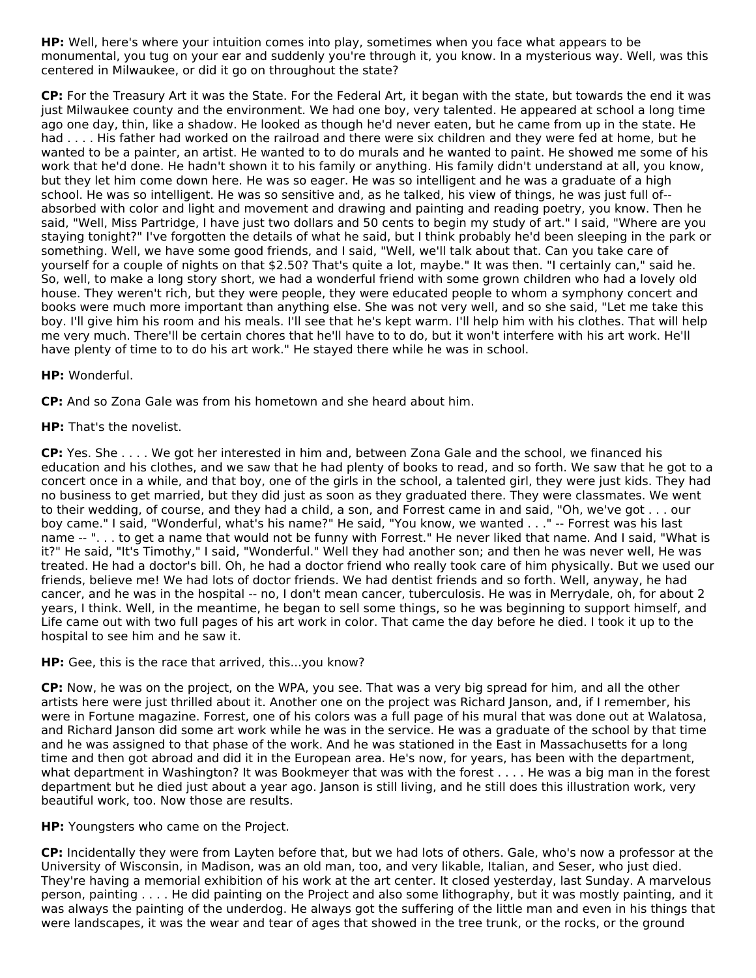**HP:** Well, here's where your intuition comes into play, sometimes when you face what appears to be monumental, you tug on your ear and suddenly you're through it, you know. In a mysterious way. Well, was this centered in Milwaukee, or did it go on throughout the state?

**CP:** For the Treasury Art it was the State. For the Federal Art, it began with the state, but towards the end it was just Milwaukee county and the environment. We had one boy, very talented. He appeared at school a long time ago one day, thin, like a shadow. He looked as though he'd never eaten, but he came from up in the state. He had . . . . His father had worked on the railroad and there were six children and they were fed at home, but he wanted to be a painter, an artist. He wanted to to do murals and he wanted to paint. He showed me some of his work that he'd done. He hadn't shown it to his family or anything. His family didn't understand at all, you know, but they let him come down here. He was so eager. He was so intelligent and he was a graduate of a high school. He was so intelligent. He was so sensitive and, as he talked, his view of things, he was just full of- absorbed with color and light and movement and drawing and painting and reading poetry, you know. Then he said, "Well, Miss Partridge, I have just two dollars and 50 cents to begin my study of art." I said, "Where are you staying tonight?" I've forgotten the details of what he said, but I think probably he'd been sleeping in the park or something. Well, we have some good friends, and I said, "Well, we'll talk about that. Can you take care of yourself for a couple of nights on that \$2.50? That's quite a lot, maybe." It was then. "I certainly can," said he. So, well, to make a long story short, we had a wonderful friend with some grown children who had a lovely old house. They weren't rich, but they were people, they were educated people to whom a symphony concert and books were much more important than anything else. She was not very well, and so she said, "Let me take this boy. I'll give him his room and his meals. I'll see that he's kept warm. I'll help him with his clothes. That will help me very much. There'll be certain chores that he'll have to to do, but it won't interfere with his art work. He'll have plenty of time to to do his art work." He stayed there while he was in school.

# **HP:** Wonderful.

**CP:** And so Zona Gale was from his hometown and she heard about him.

# **HP:** That's the novelist.

**CP:** Yes. She . . . . We got her interested in him and, between Zona Gale and the school, we financed his education and his clothes, and we saw that he had plenty of books to read, and so forth. We saw that he got to a concert once in a while, and that boy, one of the girls in the school, a talented girl, they were just kids. They had no business to get married, but they did just as soon as they graduated there. They were classmates. We went to their wedding, of course, and they had a child, a son, and Forrest came in and said, "Oh, we've got . . . our boy came." I said, "Wonderful, what's his name?" He said, "You know, we wanted . . ." -- Forrest was his last name -- ". . . to get a name that would not be funny with Forrest." He never liked that name. And I said, "What is it?" He said, "It's Timothy," I said, "Wonderful." Well they had another son; and then he was never well, He was treated. He had a doctor's bill. Oh, he had a doctor friend who really took care of him physically. But we used our friends, believe me! We had lots of doctor friends. We had dentist friends and so forth. Well, anyway, he had cancer, and he was in the hospital -- no, I don't mean cancer, tuberculosis. He was in Merrydale, oh, for about 2 years, I think. Well, in the meantime, he began to sell some things, so he was beginning to support himself, and Life came out with two full pages of his art work in color. That came the day before he died. I took it up to the hospital to see him and he saw it.

## **HP:** Gee, this is the race that arrived, this...you know?

**CP:** Now, he was on the project, on the WPA, you see. That was a very big spread for him, and all the other artists here were just thrilled about it. Another one on the project was Richard Janson, and, if I remember, his were in Fortune magazine. Forrest, one of his colors was a full page of his mural that was done out at Walatosa, and Richard Janson did some art work while he was in the service. He was a graduate of the school by that time and he was assigned to that phase of the work. And he was stationed in the East in Massachusetts for a long time and then got abroad and did it in the European area. He's now, for years, has been with the department, what department in Washington? It was Bookmeyer that was with the forest . . . . He was a big man in the forest department but he died just about a year ago. Janson is still living, and he still does this illustration work, very beautiful work, too. Now those are results.

## **HP:** Youngsters who came on the Project.

**CP:** Incidentally they were from Layten before that, but we had lots of others. Gale, who's now a professor at the University of Wisconsin, in Madison, was an old man, too, and very likable, Italian, and Seser, who just died. They're having a memorial exhibition of his work at the art center. It closed yesterday, last Sunday. A marvelous person, painting . . . . He did painting on the Project and also some lithography, but it was mostly painting, and it was always the painting of the underdog. He always got the suffering of the little man and even in his things that were landscapes, it was the wear and tear of ages that showed in the tree trunk, or the rocks, or the ground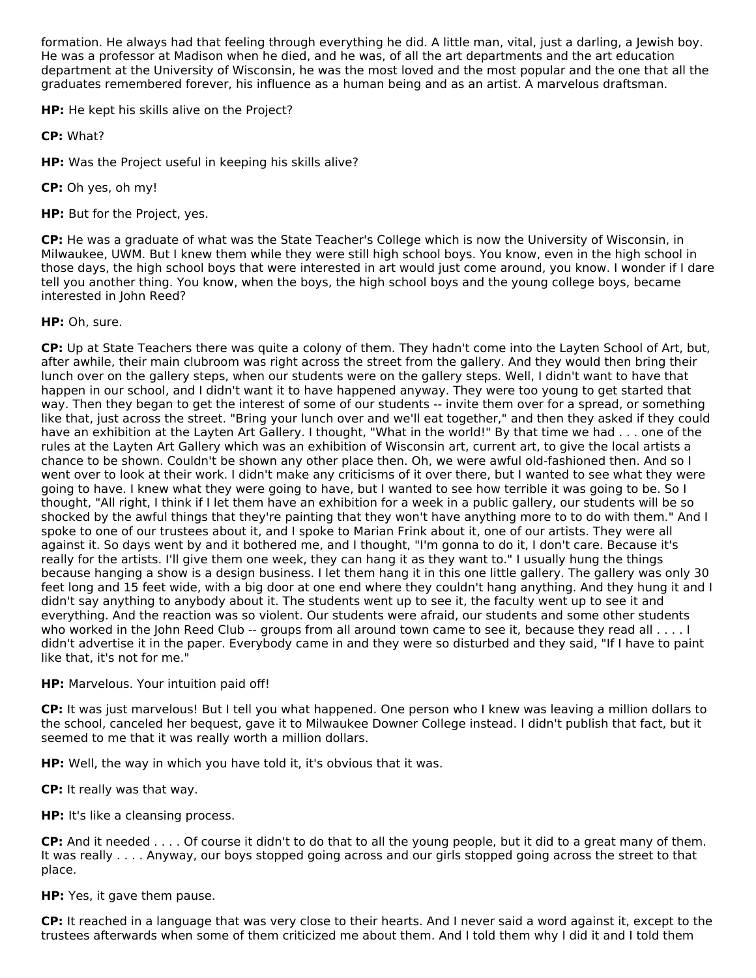formation. He always had that feeling through everything he did. A little man, vital, just a darling, a Jewish boy. He was a professor at Madison when he died, and he was, of all the art departments and the art education department at the University of Wisconsin, he was the most loved and the most popular and the one that all the graduates remembered forever, his influence as a human being and as an artist. A marvelous draftsman.

**HP:** He kept his skills alive on the Project?

**CP:** What?

**HP:** Was the Project useful in keeping his skills alive?

**CP:** Oh yes, oh my!

**HP:** But for the Project, yes.

**CP:** He was a graduate of what was the State Teacher's College which is now the University of Wisconsin, in Milwaukee, UWM. But I knew them while they were still high school boys. You know, even in the high school in those days, the high school boys that were interested in art would just come around, you know. I wonder if I dare tell you another thing. You know, when the boys, the high school boys and the young college boys, became interested in John Reed?

# **HP:** Oh, sure.

**CP:** Up at State Teachers there was quite a colony of them. They hadn't come into the Layten School of Art, but, after awhile, their main clubroom was right across the street from the gallery. And they would then bring their lunch over on the gallery steps, when our students were on the gallery steps. Well, I didn't want to have that happen in our school, and I didn't want it to have happened anyway. They were too young to get started that way. Then they began to get the interest of some of our students -- invite them over for a spread, or something like that, just across the street. "Bring your lunch over and we'll eat together," and then they asked if they could have an exhibition at the Layten Art Gallery. I thought, "What in the world!" By that time we had . . . one of the rules at the Layten Art Gallery which was an exhibition of Wisconsin art, current art, to give the local artists a chance to be shown. Couldn't be shown any other place then. Oh, we were awful old-fashioned then. And so I went over to look at their work. I didn't make any criticisms of it over there, but I wanted to see what they were going to have. I knew what they were going to have, but I wanted to see how terrible it was going to be. So I thought, "All right, I think if I let them have an exhibition for a week in a public gallery, our students will be so shocked by the awful things that they're painting that they won't have anything more to to do with them." And I spoke to one of our trustees about it, and I spoke to Marian Frink about it, one of our artists. They were all against it. So days went by and it bothered me, and I thought, "I'm gonna to do it, I don't care. Because it's really for the artists. I'll give them one week, they can hang it as they want to." I usually hung the things because hanging a show is a design business. I let them hang it in this one little gallery. The gallery was only 30 feet long and 15 feet wide, with a big door at one end where they couldn't hang anything. And they hung it and I didn't say anything to anybody about it. The students went up to see it, the faculty went up to see it and everything. And the reaction was so violent. Our students were afraid, our students and some other students who worked in the John Reed Club -- groups from all around town came to see it, because they read all . . . . I didn't advertise it in the paper. Everybody came in and they were so disturbed and they said, "If I have to paint like that, it's not for me."

## **HP:** Marvelous. Your intuition paid off!

**CP:** It was just marvelous! But I tell you what happened. One person who I knew was leaving a million dollars to the school, canceled her bequest, gave it to Milwaukee Downer College instead. I didn't publish that fact, but it seemed to me that it was really worth a million dollars.

**HP:** Well, the way in which you have told it, it's obvious that it was.

**CP:** It really was that way.

**HP:** It's like a cleansing process.

**CP:** And it needed . . . . Of course it didn't to do that to all the young people, but it did to a great many of them. It was really . . . . Anyway, our boys stopped going across and our girls stopped going across the street to that place.

**HP:** Yes, it gave them pause.

**CP:** It reached in a language that was very close to their hearts. And I never said a word against it, except to the trustees afterwards when some of them criticized me about them. And I told them why I did it and I told them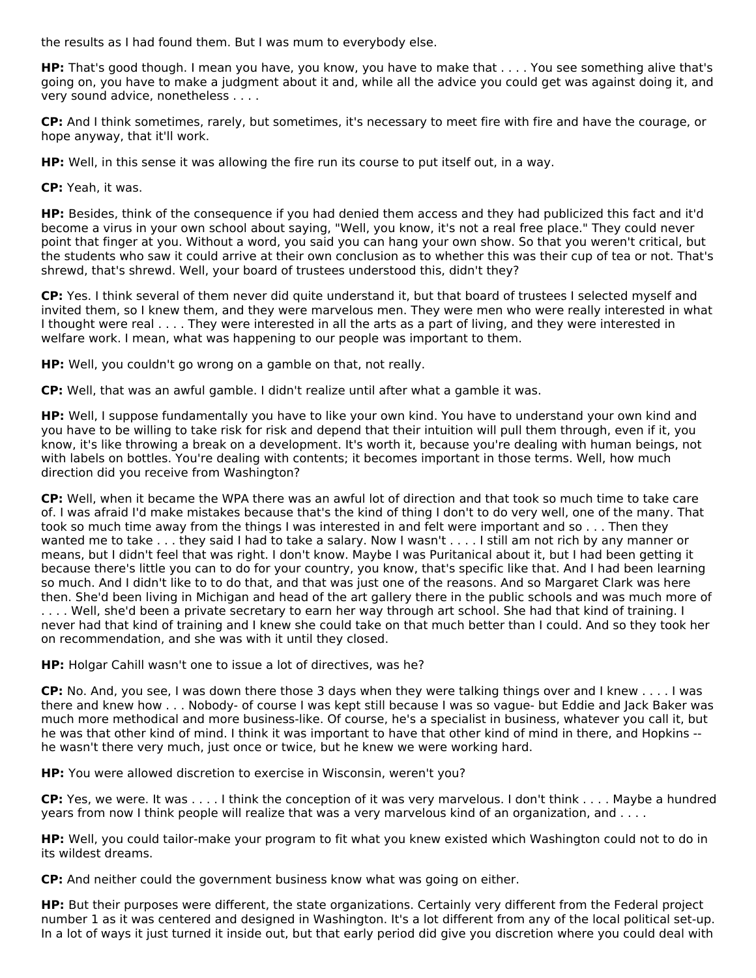the results as I had found them. But I was mum to everybody else.

**HP:** That's good though. I mean you have, you know, you have to make that . . . . You see something alive that's going on, you have to make a judgment about it and, while all the advice you could get was against doing it, and very sound advice, nonetheless . . . .

**CP:** And I think sometimes, rarely, but sometimes, it's necessary to meet fire with fire and have the courage, or hope anyway, that it'll work.

**HP:** Well, in this sense it was allowing the fire run its course to put itself out, in a way.

**CP:** Yeah, it was.

**HP:** Besides, think of the consequence if you had denied them access and they had publicized this fact and it'd become a virus in your own school about saying, "Well, you know, it's not a real free place." They could never point that finger at you. Without a word, you said you can hang your own show. So that you weren't critical, but the students who saw it could arrive at their own conclusion as to whether this was their cup of tea or not. That's shrewd, that's shrewd. Well, your board of trustees understood this, didn't they?

**CP:** Yes. I think several of them never did quite understand it, but that board of trustees I selected myself and invited them, so I knew them, and they were marvelous men. They were men who were really interested in what I thought were real . . . . They were interested in all the arts as a part of living, and they were interested in welfare work. I mean, what was happening to our people was important to them.

**HP:** Well, you couldn't go wrong on a gamble on that, not really.

**CP:** Well, that was an awful gamble. I didn't realize until after what a gamble it was.

**HP:** Well, I suppose fundamentally you have to like your own kind. You have to understand your own kind and you have to be willing to take risk for risk and depend that their intuition will pull them through, even if it, you know, it's like throwing a break on a development. It's worth it, because you're dealing with human beings, not with labels on bottles. You're dealing with contents; it becomes important in those terms. Well, how much direction did you receive from Washington?

**CP:** Well, when it became the WPA there was an awful lot of direction and that took so much time to take care of. I was afraid I'd make mistakes because that's the kind of thing I don't to do very well, one of the many. That took so much time away from the things I was interested in and felt were important and so . . . Then they wanted me to take . . . they said I had to take a salary. Now I wasn't . . . . I still am not rich by any manner or means, but I didn't feel that was right. I don't know. Maybe I was Puritanical about it, but I had been getting it because there's little you can to do for your country, you know, that's specific like that. And I had been learning so much. And I didn't like to to do that, and that was just one of the reasons. And so Margaret Clark was here then. She'd been living in Michigan and head of the art gallery there in the public schools and was much more of . . . . Well, she'd been a private secretary to earn her way through art school. She had that kind of training. I never had that kind of training and I knew she could take on that much better than I could. And so they took her on recommendation, and she was with it until they closed.

**HP:** Holgar Cahill wasn't one to issue a lot of directives, was he?

**CP:** No. And, you see, I was down there those 3 days when they were talking things over and I knew . . . . I was there and knew how . . . Nobody- of course I was kept still because I was so vague- but Eddie and Jack Baker was much more methodical and more business-like. Of course, he's a specialist in business, whatever you call it, but he was that other kind of mind. I think it was important to have that other kind of mind in there, and Hopkins - he wasn't there very much, just once or twice, but he knew we were working hard.

**HP:** You were allowed discretion to exercise in Wisconsin, weren't you?

**CP:** Yes, we were. It was . . . . I think the conception of it was very marvelous. I don't think . . . . Maybe a hundred years from now I think people will realize that was a very marvelous kind of an organization, and . . . .

**HP:** Well, you could tailor-make your program to fit what you knew existed which Washington could not to do in its wildest dreams.

**CP:** And neither could the government business know what was going on either.

**HP:** But their purposes were different, the state organizations. Certainly very different from the Federal project number 1 as it was centered and designed in Washington. It's a lot different from any of the local political set-up. In a lot of ways it just turned it inside out, but that early period did give you discretion where you could deal with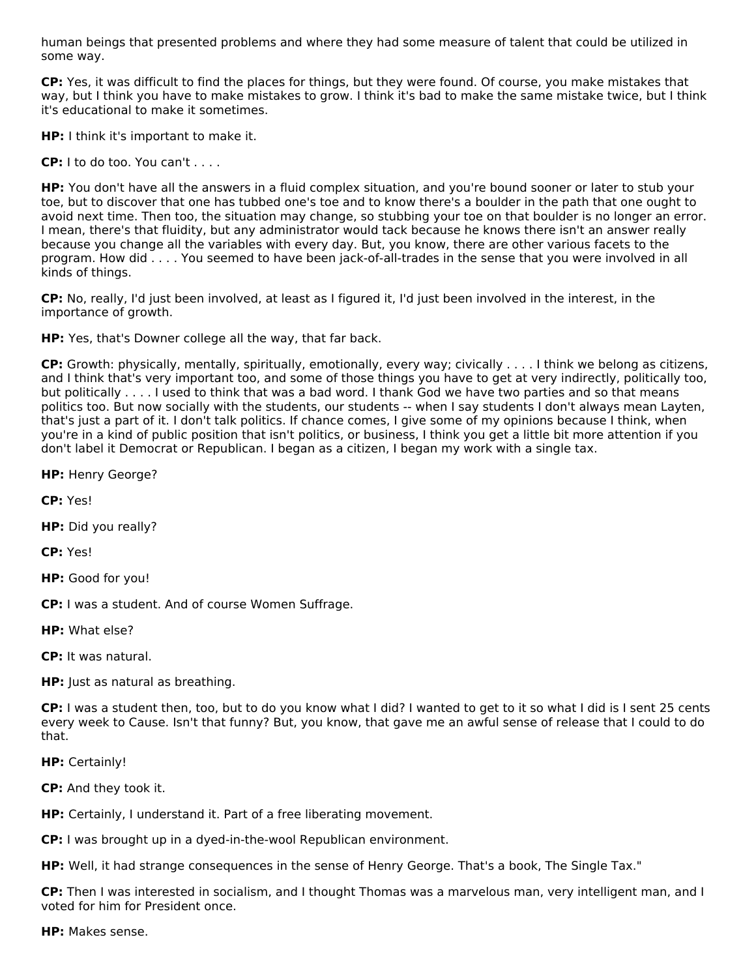human beings that presented problems and where they had some measure of talent that could be utilized in some way.

**CP:** Yes, it was difficult to find the places for things, but they were found. Of course, you make mistakes that way, but I think you have to make mistakes to grow. I think it's bad to make the same mistake twice, but I think it's educational to make it sometimes.

**HP:** I think it's important to make it.

**CP:** I to do too. You can't . . . .

**HP:** You don't have all the answers in a fluid complex situation, and you're bound sooner or later to stub your toe, but to discover that one has tubbed one's toe and to know there's a boulder in the path that one ought to avoid next time. Then too, the situation may change, so stubbing your toe on that boulder is no longer an error. I mean, there's that fluidity, but any administrator would tack because he knows there isn't an answer really because you change all the variables with every day. But, you know, there are other various facets to the program. How did . . . . You seemed to have been jack-of-all-trades in the sense that you were involved in all kinds of things.

**CP:** No, really, I'd just been involved, at least as I figured it, I'd just been involved in the interest, in the importance of growth.

**HP:** Yes, that's Downer college all the way, that far back.

**CP:** Growth: physically, mentally, spiritually, emotionally, every way; civically . . . . I think we belong as citizens, and I think that's very important too, and some of those things you have to get at very indirectly, politically too, but politically . . . . I used to think that was a bad word. I thank God we have two parties and so that means politics too. But now socially with the students, our students -- when I say students I don't always mean Layten, that's just a part of it. I don't talk politics. If chance comes, I give some of my opinions because I think, when you're in a kind of public position that isn't politics, or business, I think you get a little bit more attention if you don't label it Democrat or Republican. I began as a citizen, I began my work with a single tax.

**HP:** Henry George?

**CP:** Yes!

**HP:** Did you really?

**CP:** Yes!

**HP:** Good for you!

**CP:** I was a student. And of course Women Suffrage.

**HP:** What else?

**CP:** It was natural.

**HP:** Just as natural as breathing.

**CP:** I was a student then, too, but to do you know what I did? I wanted to get to it so what I did is I sent 25 cents every week to Cause. Isn't that funny? But, you know, that gave me an awful sense of release that I could to do that.

**HP:** Certainly!

**CP:** And they took it.

**HP:** Certainly, I understand it. Part of a free liberating movement.

**CP:** I was brought up in a dyed-in-the-wool Republican environment.

**HP:** Well, it had strange consequences in the sense of Henry George. That's a book, The Single Tax."

**CP:** Then I was interested in socialism, and I thought Thomas was a marvelous man, very intelligent man, and I voted for him for President once.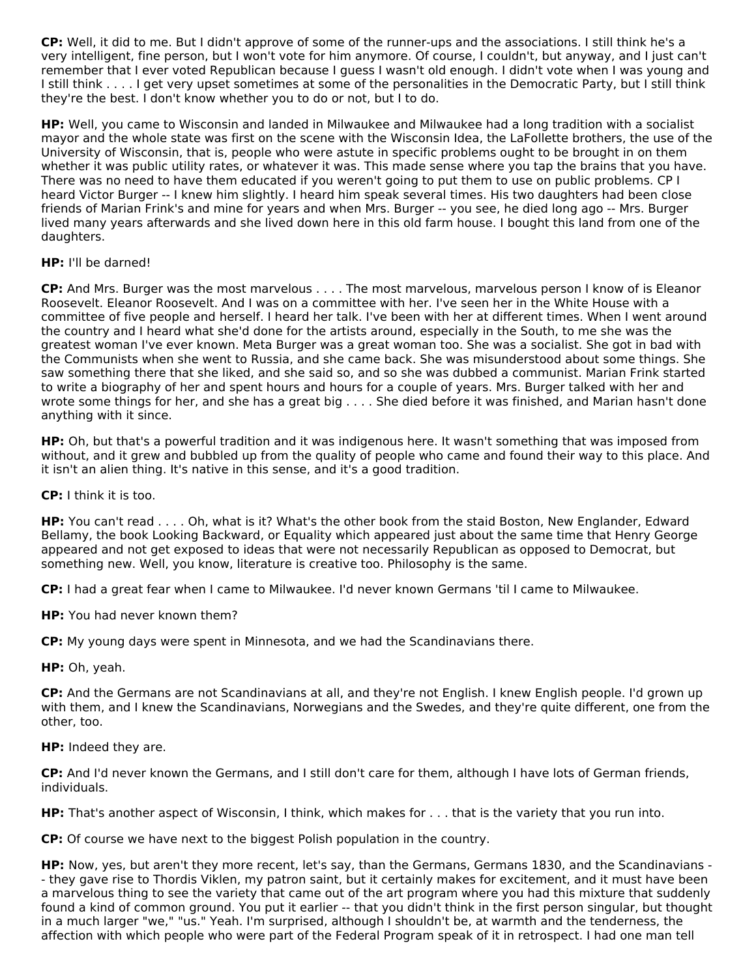**CP:** Well, it did to me. But I didn't approve of some of the runner-ups and the associations. I still think he's a very intelligent, fine person, but I won't vote for him anymore. Of course, I couldn't, but anyway, and I just can't remember that I ever voted Republican because I guess I wasn't old enough. I didn't vote when I was young and I still think . . . . I get very upset sometimes at some of the personalities in the Democratic Party, but I still think they're the best. I don't know whether you to do or not, but I to do.

**HP:** Well, you came to Wisconsin and landed in Milwaukee and Milwaukee had a long tradition with a socialist mayor and the whole state was first on the scene with the Wisconsin Idea, the LaFollette brothers, the use of the University of Wisconsin, that is, people who were astute in specific problems ought to be brought in on them whether it was public utility rates, or whatever it was. This made sense where you tap the brains that you have. There was no need to have them educated if you weren't going to put them to use on public problems. CP I heard Victor Burger -- I knew him slightly. I heard him speak several times. His two daughters had been close friends of Marian Frink's and mine for years and when Mrs. Burger -- you see, he died long ago -- Mrs. Burger lived many years afterwards and she lived down here in this old farm house. I bought this land from one of the daughters.

# **HP:** I'll be darned!

**CP:** And Mrs. Burger was the most marvelous . . . . The most marvelous, marvelous person I know of is Eleanor Roosevelt. Eleanor Roosevelt. And I was on a committee with her. I've seen her in the White House with a committee of five people and herself. I heard her talk. I've been with her at different times. When I went around the country and I heard what she'd done for the artists around, especially in the South, to me she was the greatest woman I've ever known. Meta Burger was a great woman too. She was a socialist. She got in bad with the Communists when she went to Russia, and she came back. She was misunderstood about some things. She saw something there that she liked, and she said so, and so she was dubbed a communist. Marian Frink started to write a biography of her and spent hours and hours for a couple of years. Mrs. Burger talked with her and wrote some things for her, and she has a great big . . . . She died before it was finished, and Marian hasn't done anything with it since.

**HP:** Oh, but that's a powerful tradition and it was indigenous here. It wasn't something that was imposed from without, and it grew and bubbled up from the quality of people who came and found their way to this place. And it isn't an alien thing. It's native in this sense, and it's a good tradition.

**CP:** I think it is too.

**HP:** You can't read . . . . Oh, what is it? What's the other book from the staid Boston, New Englander, Edward Bellamy, the book Looking Backward, or Equality which appeared just about the same time that Henry George appeared and not get exposed to ideas that were not necessarily Republican as opposed to Democrat, but something new. Well, you know, literature is creative too. Philosophy is the same.

**CP:** I had a great fear when I came to Milwaukee. I'd never known Germans 'til I came to Milwaukee.

**HP:** You had never known them?

**CP:** My young days were spent in Minnesota, and we had the Scandinavians there.

**HP:** Oh, yeah.

**CP:** And the Germans are not Scandinavians at all, and they're not English. I knew English people. I'd grown up with them, and I knew the Scandinavians, Norwegians and the Swedes, and they're quite different, one from the other, too.

**HP:** Indeed they are.

**CP:** And I'd never known the Germans, and I still don't care for them, although I have lots of German friends, individuals.

**HP:** That's another aspect of Wisconsin, I think, which makes for . . . that is the variety that you run into.

**CP:** Of course we have next to the biggest Polish population in the country.

**HP:** Now, yes, but aren't they more recent, let's say, than the Germans, Germans 1830, and the Scandinavians - - they gave rise to Thordis Viklen, my patron saint, but it certainly makes for excitement, and it must have been a marvelous thing to see the variety that came out of the art program where you had this mixture that suddenly found a kind of common ground. You put it earlier -- that you didn't think in the first person singular, but thought in a much larger "we," "us." Yeah. I'm surprised, although I shouldn't be, at warmth and the tenderness, the affection with which people who were part of the Federal Program speak of it in retrospect. I had one man tell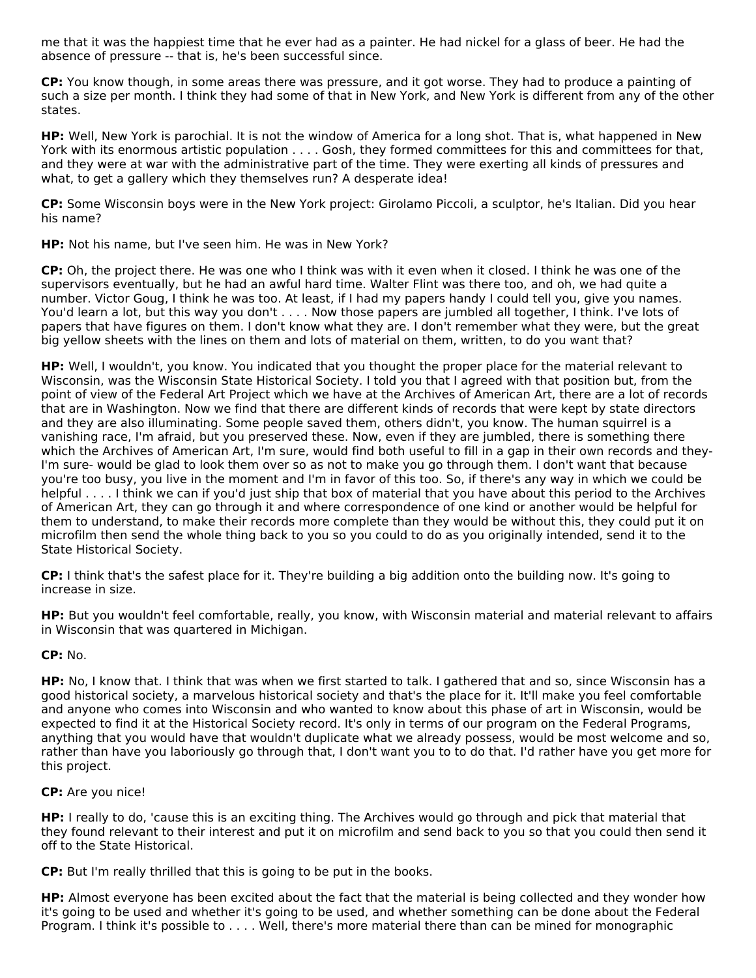me that it was the happiest time that he ever had as a painter. He had nickel for a glass of beer. He had the absence of pressure -- that is, he's been successful since.

**CP:** You know though, in some areas there was pressure, and it got worse. They had to produce a painting of such a size per month. I think they had some of that in New York, and New York is different from any of the other states.

**HP:** Well, New York is parochial. It is not the window of America for a long shot. That is, what happened in New York with its enormous artistic population . . . . Gosh, they formed committees for this and committees for that, and they were at war with the administrative part of the time. They were exerting all kinds of pressures and what, to get a gallery which they themselves run? A desperate idea!

**CP:** Some Wisconsin boys were in the New York project: Girolamo Piccoli, a sculptor, he's Italian. Did you hear his name?

## **HP:** Not his name, but I've seen him. He was in New York?

**CP:** Oh, the project there. He was one who I think was with it even when it closed. I think he was one of the supervisors eventually, but he had an awful hard time. Walter Flint was there too, and oh, we had quite a number. Victor Goug, I think he was too. At least, if I had my papers handy I could tell you, give you names. You'd learn a lot, but this way you don't . . . . Now those papers are jumbled all together, I think. I've lots of papers that have figures on them. I don't know what they are. I don't remember what they were, but the great big yellow sheets with the lines on them and lots of material on them, written, to do you want that?

**HP:** Well, I wouldn't, you know. You indicated that you thought the proper place for the material relevant to Wisconsin, was the Wisconsin State Historical Society. I told you that I agreed with that position but, from the point of view of the Federal Art Project which we have at the Archives of American Art, there are a lot of records that are in Washington. Now we find that there are different kinds of records that were kept by state directors and they are also illuminating. Some people saved them, others didn't, you know. The human squirrel is a vanishing race, I'm afraid, but you preserved these. Now, even if they are jumbled, there is something there which the Archives of American Art, I'm sure, would find both useful to fill in a gap in their own records and they-I'm sure- would be glad to look them over so as not to make you go through them. I don't want that because you're too busy, you live in the moment and I'm in favor of this too. So, if there's any way in which we could be helpful . . . . I think we can if you'd just ship that box of material that you have about this period to the Archives of American Art, they can go through it and where correspondence of one kind or another would be helpful for them to understand, to make their records more complete than they would be without this, they could put it on microfilm then send the whole thing back to you so you could to do as you originally intended, send it to the State Historical Society.

**CP:** I think that's the safest place for it. They're building a big addition onto the building now. It's going to increase in size.

**HP:** But you wouldn't feel comfortable, really, you know, with Wisconsin material and material relevant to affairs in Wisconsin that was quartered in Michigan.

## **CP:** No.

**HP:** No, I know that. I think that was when we first started to talk. I gathered that and so, since Wisconsin has a good historical society, a marvelous historical society and that's the place for it. It'll make you feel comfortable and anyone who comes into Wisconsin and who wanted to know about this phase of art in Wisconsin, would be expected to find it at the Historical Society record. It's only in terms of our program on the Federal Programs, anything that you would have that wouldn't duplicate what we already possess, would be most welcome and so, rather than have you laboriously go through that, I don't want you to to do that. I'd rather have you get more for this project.

## **CP:** Are you nice!

**HP:** I really to do, 'cause this is an exciting thing. The Archives would go through and pick that material that they found relevant to their interest and put it on microfilm and send back to you so that you could then send it off to the State Historical.

**CP:** But I'm really thrilled that this is going to be put in the books.

**HP:** Almost everyone has been excited about the fact that the material is being collected and they wonder how it's going to be used and whether it's going to be used, and whether something can be done about the Federal Program. I think it's possible to . . . . Well, there's more material there than can be mined for monographic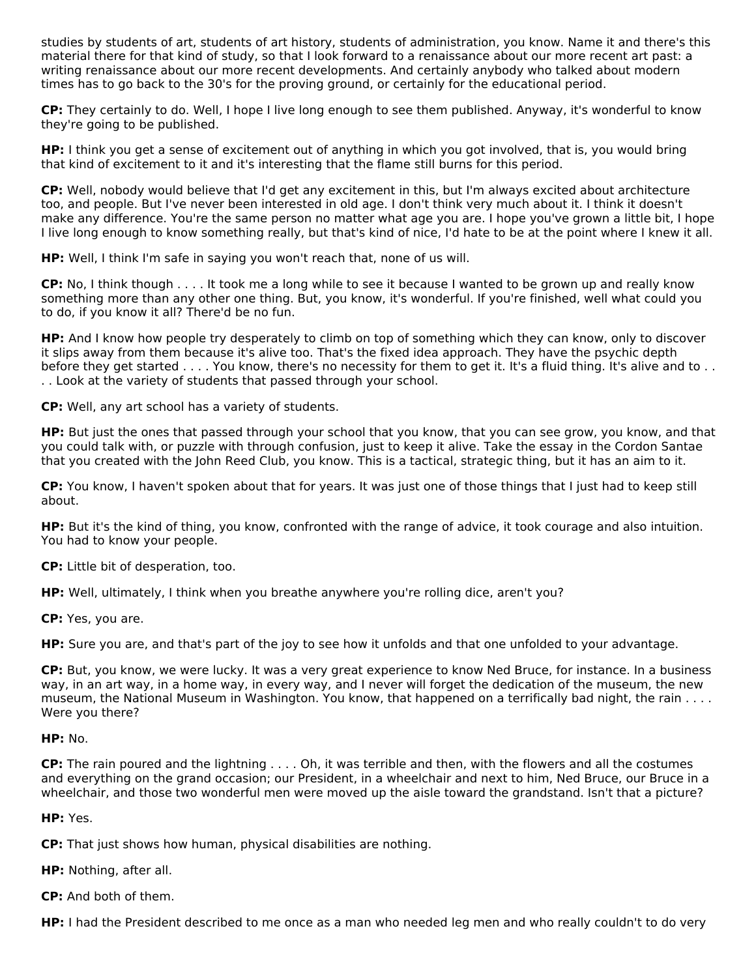studies by students of art, students of art history, students of administration, you know. Name it and there's this material there for that kind of study, so that I look forward to a renaissance about our more recent art past: a writing renaissance about our more recent developments. And certainly anybody who talked about modern times has to go back to the 30's for the proving ground, or certainly for the educational period.

**CP:** They certainly to do. Well, I hope I live long enough to see them published. Anyway, it's wonderful to know they're going to be published.

**HP:** I think you get a sense of excitement out of anything in which you got involved, that is, you would bring that kind of excitement to it and it's interesting that the flame still burns for this period.

**CP:** Well, nobody would believe that I'd get any excitement in this, but I'm always excited about architecture too, and people. But I've never been interested in old age. I don't think very much about it. I think it doesn't make any difference. You're the same person no matter what age you are. I hope you've grown a little bit, I hope I live long enough to know something really, but that's kind of nice, I'd hate to be at the point where I knew it all.

**HP:** Well, I think I'm safe in saying you won't reach that, none of us will.

**CP:** No, I think though . . . . It took me a long while to see it because I wanted to be grown up and really know something more than any other one thing. But, you know, it's wonderful. If you're finished, well what could you to do, if you know it all? There'd be no fun.

**HP:** And I know how people try desperately to climb on top of something which they can know, only to discover it slips away from them because it's alive too. That's the fixed idea approach. They have the psychic depth before they get started . . . . You know, there's no necessity for them to get it. It's a fluid thing. It's alive and to . . . . Look at the variety of students that passed through your school.

**CP:** Well, any art school has a variety of students.

**HP:** But just the ones that passed through your school that you know, that you can see grow, you know, and that you could talk with, or puzzle with through confusion, just to keep it alive. Take the essay in the Cordon Santae that you created with the John Reed Club, you know. This is a tactical, strategic thing, but it has an aim to it.

**CP:** You know, I haven't spoken about that for years. It was just one of those things that I just had to keep still about.

**HP:** But it's the kind of thing, you know, confronted with the range of advice, it took courage and also intuition. You had to know your people.

**CP:** Little bit of desperation, too.

**HP:** Well, ultimately, I think when you breathe anywhere you're rolling dice, aren't you?

**CP:** Yes, you are.

**HP:** Sure you are, and that's part of the joy to see how it unfolds and that one unfolded to your advantage.

**CP:** But, you know, we were lucky. It was a very great experience to know Ned Bruce, for instance. In a business way, in an art way, in a home way, in every way, and I never will forget the dedication of the museum, the new museum, the National Museum in Washington. You know, that happened on a terrifically bad night, the rain . . . . Were you there?

## **HP:** No.

**CP:** The rain poured and the lightning . . . . Oh, it was terrible and then, with the flowers and all the costumes and everything on the grand occasion; our President, in a wheelchair and next to him, Ned Bruce, our Bruce in a wheelchair, and those two wonderful men were moved up the aisle toward the grandstand. Isn't that a picture?

# **HP:** Yes.

**CP:** That just shows how human, physical disabilities are nothing.

**HP:** Nothing, after all.

**CP:** And both of them.

**HP:** I had the President described to me once as a man who needed leg men and who really couldn't to do very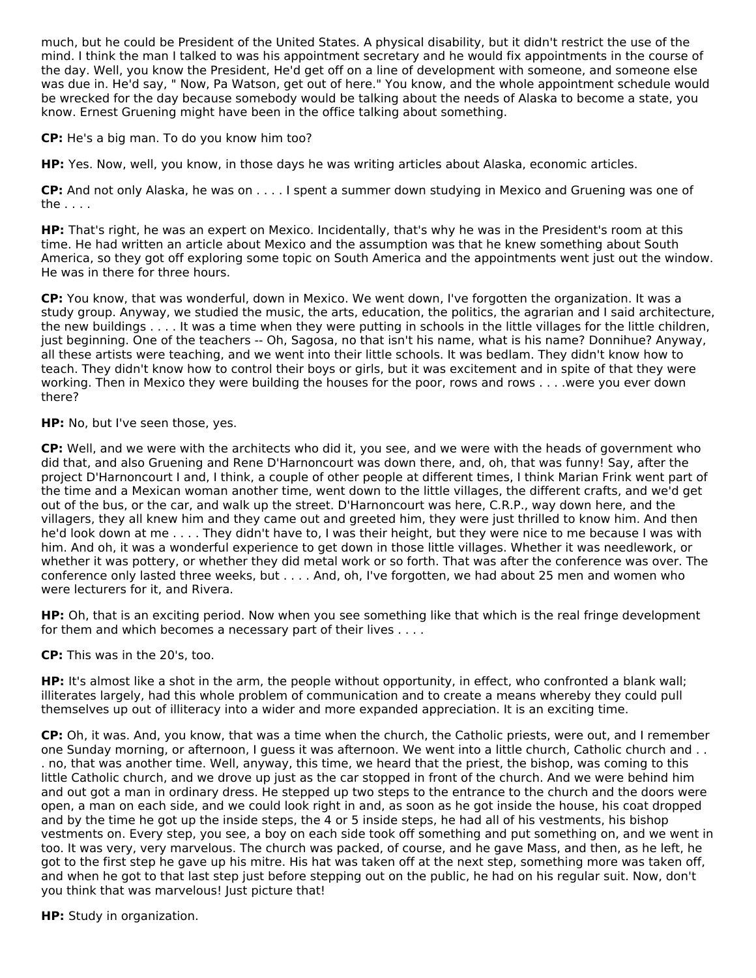much, but he could be President of the United States. A physical disability, but it didn't restrict the use of the mind. I think the man I talked to was his appointment secretary and he would fix appointments in the course of the day. Well, you know the President, He'd get off on a line of development with someone, and someone else was due in. He'd say, " Now, Pa Watson, get out of here." You know, and the whole appointment schedule would be wrecked for the day because somebody would be talking about the needs of Alaska to become a state, you know. Ernest Gruening might have been in the office talking about something.

**CP:** He's a big man. To do you know him too?

**HP:** Yes. Now, well, you know, in those days he was writing articles about Alaska, economic articles.

**CP:** And not only Alaska, he was on . . . . I spent a summer down studying in Mexico and Gruening was one of the . . . .

**HP:** That's right, he was an expert on Mexico. Incidentally, that's why he was in the President's room at this time. He had written an article about Mexico and the assumption was that he knew something about South America, so they got off exploring some topic on South America and the appointments went just out the window. He was in there for three hours.

**CP:** You know, that was wonderful, down in Mexico. We went down, I've forgotten the organization. It was a study group. Anyway, we studied the music, the arts, education, the politics, the agrarian and I said architecture, the new buildings . . . . It was a time when they were putting in schools in the little villages for the little children, just beginning. One of the teachers -- Oh, Sagosa, no that isn't his name, what is his name? Donnihue? Anyway, all these artists were teaching, and we went into their little schools. It was bedlam. They didn't know how to teach. They didn't know how to control their boys or girls, but it was excitement and in spite of that they were working. Then in Mexico they were building the houses for the poor, rows and rows . . . .were you ever down there?

**HP:** No, but I've seen those, yes.

**CP:** Well, and we were with the architects who did it, you see, and we were with the heads of government who did that, and also Gruening and Rene D'Harnoncourt was down there, and, oh, that was funny! Say, after the project D'Harnoncourt I and, I think, a couple of other people at different times, I think Marian Frink went part of the time and a Mexican woman another time, went down to the little villages, the different crafts, and we'd get out of the bus, or the car, and walk up the street. D'Harnoncourt was here, C.R.P., way down here, and the villagers, they all knew him and they came out and greeted him, they were just thrilled to know him. And then he'd look down at me . . . . They didn't have to, I was their height, but they were nice to me because I was with him. And oh, it was a wonderful experience to get down in those little villages. Whether it was needlework, or whether it was pottery, or whether they did metal work or so forth. That was after the conference was over. The conference only lasted three weeks, but . . . . And, oh, I've forgotten, we had about 25 men and women who were lecturers for it, and Rivera.

**HP:** Oh, that is an exciting period. Now when you see something like that which is the real fringe development for them and which becomes a necessary part of their lives . . . .

**CP:** This was in the 20's, too.

**HP:** It's almost like a shot in the arm, the people without opportunity, in effect, who confronted a blank wall; illiterates largely, had this whole problem of communication and to create a means whereby they could pull themselves up out of illiteracy into a wider and more expanded appreciation. It is an exciting time.

**CP:** Oh, it was. And, you know, that was a time when the church, the Catholic priests, were out, and I remember one Sunday morning, or afternoon, I guess it was afternoon. We went into a little church, Catholic church and . . . no, that was another time. Well, anyway, this time, we heard that the priest, the bishop, was coming to this little Catholic church, and we drove up just as the car stopped in front of the church. And we were behind him and out got a man in ordinary dress. He stepped up two steps to the entrance to the church and the doors were open, a man on each side, and we could look right in and, as soon as he got inside the house, his coat dropped and by the time he got up the inside steps, the 4 or 5 inside steps, he had all of his vestments, his bishop vestments on. Every step, you see, a boy on each side took off something and put something on, and we went in too. It was very, very marvelous. The church was packed, of course, and he gave Mass, and then, as he left, he got to the first step he gave up his mitre. His hat was taken off at the next step, something more was taken off, and when he got to that last step just before stepping out on the public, he had on his regular suit. Now, don't you think that was marvelous! Just picture that!

**HP:** Study in organization.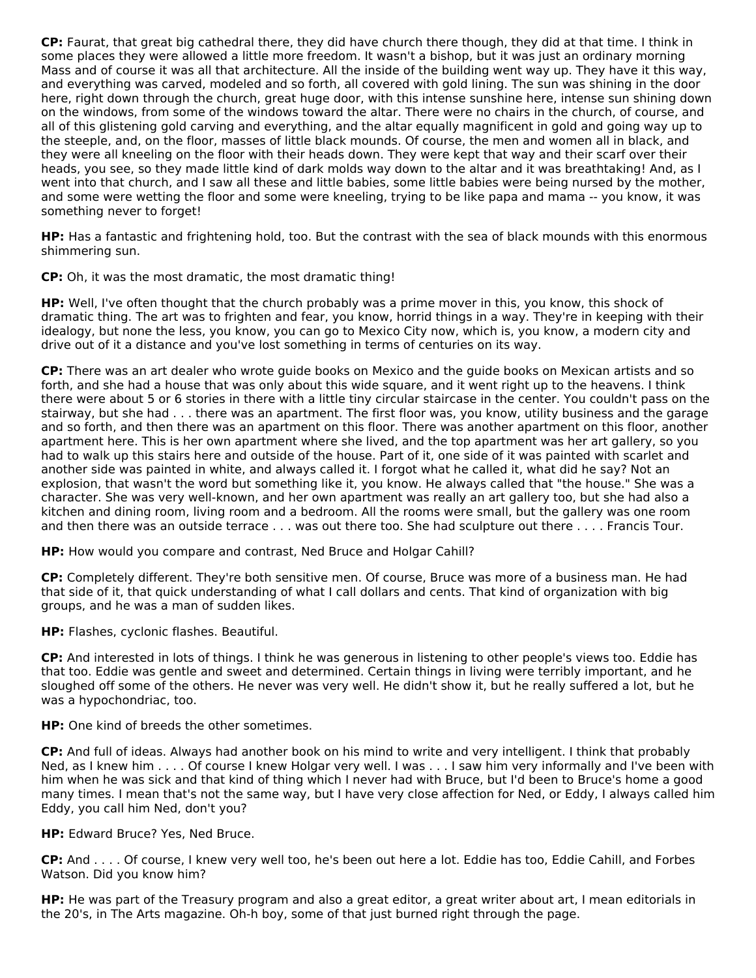**CP:** Faurat, that great big cathedral there, they did have church there though, they did at that time. I think in some places they were allowed a little more freedom. It wasn't a bishop, but it was just an ordinary morning Mass and of course it was all that architecture. All the inside of the building went way up. They have it this way, and everything was carved, modeled and so forth, all covered with gold lining. The sun was shining in the door here, right down through the church, great huge door, with this intense sunshine here, intense sun shining down on the windows, from some of the windows toward the altar. There were no chairs in the church, of course, and all of this glistening gold carving and everything, and the altar equally magnificent in gold and going way up to the steeple, and, on the floor, masses of little black mounds. Of course, the men and women all in black, and they were all kneeling on the floor with their heads down. They were kept that way and their scarf over their heads, you see, so they made little kind of dark molds way down to the altar and it was breathtaking! And, as I went into that church, and I saw all these and little babies, some little babies were being nursed by the mother, and some were wetting the floor and some were kneeling, trying to be like papa and mama -- you know, it was something never to forget!

**HP:** Has a fantastic and frightening hold, too. But the contrast with the sea of black mounds with this enormous shimmering sun.

**CP:** Oh, it was the most dramatic, the most dramatic thing!

**HP:** Well, I've often thought that the church probably was a prime mover in this, you know, this shock of dramatic thing. The art was to frighten and fear, you know, horrid things in a way. They're in keeping with their idealogy, but none the less, you know, you can go to Mexico City now, which is, you know, a modern city and drive out of it a distance and you've lost something in terms of centuries on its way.

**CP:** There was an art dealer who wrote guide books on Mexico and the guide books on Mexican artists and so forth, and she had a house that was only about this wide square, and it went right up to the heavens. I think there were about 5 or 6 stories in there with a little tiny circular staircase in the center. You couldn't pass on the stairway, but she had . . . there was an apartment. The first floor was, you know, utility business and the garage and so forth, and then there was an apartment on this floor. There was another apartment on this floor, another apartment here. This is her own apartment where she lived, and the top apartment was her art gallery, so you had to walk up this stairs here and outside of the house. Part of it, one side of it was painted with scarlet and another side was painted in white, and always called it. I forgot what he called it, what did he say? Not an explosion, that wasn't the word but something like it, you know. He always called that "the house." She was a character. She was very well-known, and her own apartment was really an art gallery too, but she had also a kitchen and dining room, living room and a bedroom. All the rooms were small, but the gallery was one room and then there was an outside terrace . . . was out there too. She had sculpture out there . . . . Francis Tour.

**HP:** How would you compare and contrast, Ned Bruce and Holgar Cahill?

**CP:** Completely different. They're both sensitive men. Of course, Bruce was more of a business man. He had that side of it, that quick understanding of what I call dollars and cents. That kind of organization with big groups, and he was a man of sudden likes.

**HP:** Flashes, cyclonic flashes. Beautiful.

**CP:** And interested in lots of things. I think he was generous in listening to other people's views too. Eddie has that too. Eddie was gentle and sweet and determined. Certain things in living were terribly important, and he sloughed off some of the others. He never was very well. He didn't show it, but he really suffered a lot, but he was a hypochondriac, too.

**HP:** One kind of breeds the other sometimes.

**CP:** And full of ideas. Always had another book on his mind to write and very intelligent. I think that probably Ned, as I knew him . . . . Of course I knew Holgar very well. I was . . . I saw him very informally and I've been with him when he was sick and that kind of thing which I never had with Bruce, but I'd been to Bruce's home a good many times. I mean that's not the same way, but I have very close affection for Ned, or Eddy, I always called him Eddy, you call him Ned, don't you?

**HP:** Edward Bruce? Yes, Ned Bruce.

**CP:** And . . . . Of course, I knew very well too, he's been out here a lot. Eddie has too, Eddie Cahill, and Forbes Watson. Did you know him?

**HP:** He was part of the Treasury program and also a great editor, a great writer about art, I mean editorials in the 20's, in The Arts magazine. Oh-h boy, some of that just burned right through the page.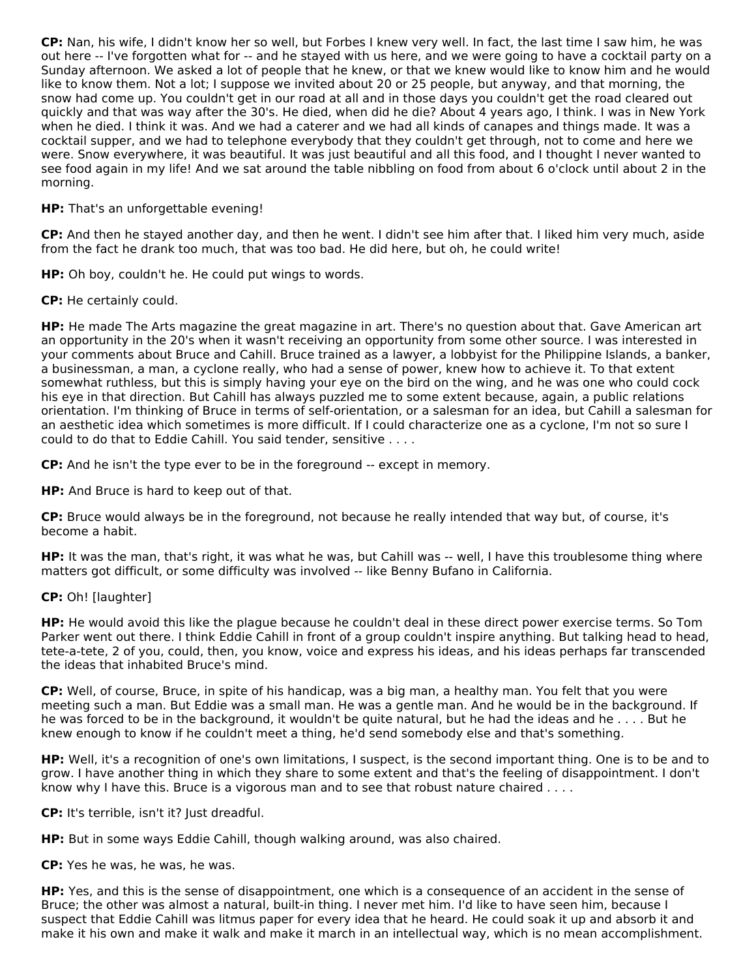**CP:** Nan, his wife, I didn't know her so well, but Forbes I knew very well. In fact, the last time I saw him, he was out here -- I've forgotten what for -- and he stayed with us here, and we were going to have a cocktail party on a Sunday afternoon. We asked a lot of people that he knew, or that we knew would like to know him and he would like to know them. Not a lot; I suppose we invited about 20 or 25 people, but anyway, and that morning, the snow had come up. You couldn't get in our road at all and in those days you couldn't get the road cleared out quickly and that was way after the 30's. He died, when did he die? About 4 years ago, I think. I was in New York when he died. I think it was. And we had a caterer and we had all kinds of canapes and things made. It was a cocktail supper, and we had to telephone everybody that they couldn't get through, not to come and here we were. Snow everywhere, it was beautiful. It was just beautiful and all this food, and I thought I never wanted to see food again in my life! And we sat around the table nibbling on food from about 6 o'clock until about 2 in the morning.

# **HP:** That's an unforgettable evening!

**CP:** And then he stayed another day, and then he went. I didn't see him after that. I liked him very much, aside from the fact he drank too much, that was too bad. He did here, but oh, he could write!

**HP:** Oh boy, couldn't he. He could put wings to words.

**CP:** He certainly could.

**HP:** He made The Arts magazine the great magazine in art. There's no question about that. Gave American art an opportunity in the 20's when it wasn't receiving an opportunity from some other source. I was interested in your comments about Bruce and Cahill. Bruce trained as a lawyer, a lobbyist for the Philippine Islands, a banker, a businessman, a man, a cyclone really, who had a sense of power, knew how to achieve it. To that extent somewhat ruthless, but this is simply having your eye on the bird on the wing, and he was one who could cock his eye in that direction. But Cahill has always puzzled me to some extent because, again, a public relations orientation. I'm thinking of Bruce in terms of self-orientation, or a salesman for an idea, but Cahill a salesman for an aesthetic idea which sometimes is more difficult. If I could characterize one as a cyclone, I'm not so sure I could to do that to Eddie Cahill. You said tender, sensitive . . . .

**CP:** And he isn't the type ever to be in the foreground -- except in memory.

**HP:** And Bruce is hard to keep out of that.

**CP:** Bruce would always be in the foreground, not because he really intended that way but, of course, it's become a habit.

**HP:** It was the man, that's right, it was what he was, but Cahill was -- well, I have this troublesome thing where matters got difficult, or some difficulty was involved -- like Benny Bufano in California.

# **CP:** Oh! [laughter]

**HP:** He would avoid this like the plague because he couldn't deal in these direct power exercise terms. So Tom Parker went out there. I think Eddie Cahill in front of a group couldn't inspire anything. But talking head to head, tete-a-tete, 2 of you, could, then, you know, voice and express his ideas, and his ideas perhaps far transcended the ideas that inhabited Bruce's mind.

**CP:** Well, of course, Bruce, in spite of his handicap, was a big man, a healthy man. You felt that you were meeting such a man. But Eddie was a small man. He was a gentle man. And he would be in the background. If he was forced to be in the background, it wouldn't be quite natural, but he had the ideas and he . . . . But he knew enough to know if he couldn't meet a thing, he'd send somebody else and that's something.

**HP:** Well, it's a recognition of one's own limitations, I suspect, is the second important thing. One is to be and to grow. I have another thing in which they share to some extent and that's the feeling of disappointment. I don't know why I have this. Bruce is a vigorous man and to see that robust nature chaired . . . .

**CP:** It's terrible, isn't it? Just dreadful.

**HP:** But in some ways Eddie Cahill, though walking around, was also chaired.

**CP:** Yes he was, he was, he was.

**HP:** Yes, and this is the sense of disappointment, one which is a consequence of an accident in the sense of Bruce; the other was almost a natural, built-in thing. I never met him. I'd like to have seen him, because I suspect that Eddie Cahill was litmus paper for every idea that he heard. He could soak it up and absorb it and make it his own and make it walk and make it march in an intellectual way, which is no mean accomplishment.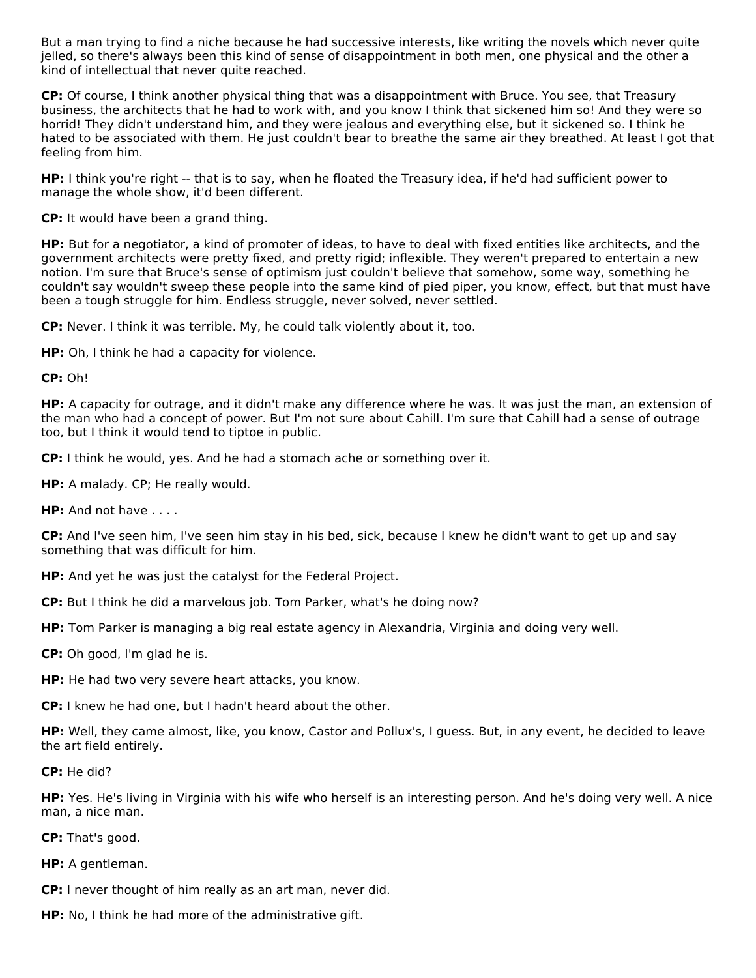But a man trying to find a niche because he had successive interests, like writing the novels which never quite jelled, so there's always been this kind of sense of disappointment in both men, one physical and the other a kind of intellectual that never quite reached.

**CP:** Of course, I think another physical thing that was a disappointment with Bruce. You see, that Treasury business, the architects that he had to work with, and you know I think that sickened him so! And they were so horrid! They didn't understand him, and they were jealous and everything else, but it sickened so. I think he hated to be associated with them. He just couldn't bear to breathe the same air they breathed. At least I got that feeling from him.

**HP:** I think you're right -- that is to say, when he floated the Treasury idea, if he'd had sufficient power to manage the whole show, it'd been different.

**CP:** It would have been a grand thing.

**HP:** But for a negotiator, a kind of promoter of ideas, to have to deal with fixed entities like architects, and the government architects were pretty fixed, and pretty rigid; inflexible. They weren't prepared to entertain a new notion. I'm sure that Bruce's sense of optimism just couldn't believe that somehow, some way, something he couldn't say wouldn't sweep these people into the same kind of pied piper, you know, effect, but that must have been a tough struggle for him. Endless struggle, never solved, never settled.

**CP:** Never. I think it was terrible. My, he could talk violently about it, too.

**HP:** Oh, I think he had a capacity for violence.

**CP:** Oh!

**HP:** A capacity for outrage, and it didn't make any difference where he was. It was just the man, an extension of the man who had a concept of power. But I'm not sure about Cahill. I'm sure that Cahill had a sense of outrage too, but I think it would tend to tiptoe in public.

**CP:** I think he would, yes. And he had a stomach ache or something over it.

**HP:** A malady. CP; He really would.

**HP:** And not have . . . .

**CP:** And I've seen him, I've seen him stay in his bed, sick, because I knew he didn't want to get up and say something that was difficult for him.

**HP:** And yet he was just the catalyst for the Federal Project.

**CP:** But I think he did a marvelous job. Tom Parker, what's he doing now?

**HP:** Tom Parker is managing a big real estate agency in Alexandria, Virginia and doing very well.

**CP:** Oh good, I'm glad he is.

**HP:** He had two very severe heart attacks, you know.

**CP:** I knew he had one, but I hadn't heard about the other.

**HP:** Well, they came almost, like, you know, Castor and Pollux's, I guess. But, in any event, he decided to leave the art field entirely.

**CP:** He did?

**HP:** Yes. He's living in Virginia with his wife who herself is an interesting person. And he's doing very well. A nice man, a nice man.

**CP:** That's good.

**HP:** A gentleman.

**CP:** I never thought of him really as an art man, never did.

**HP:** No, I think he had more of the administrative gift.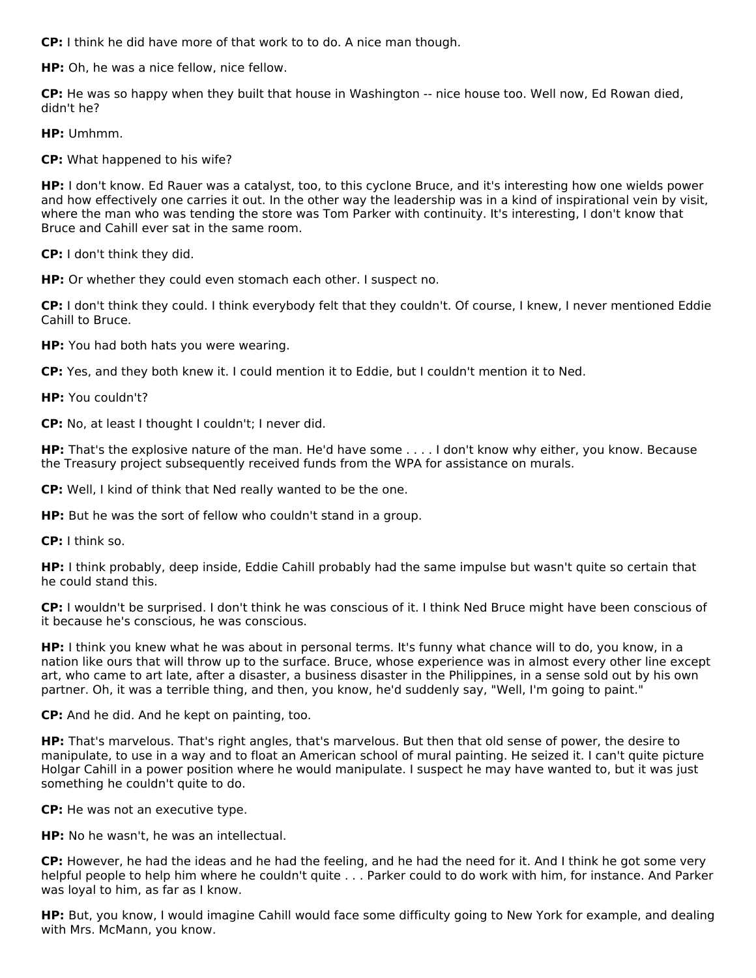**CP:** I think he did have more of that work to to do. A nice man though.

**HP:** Oh, he was a nice fellow, nice fellow.

**CP:** He was so happy when they built that house in Washington -- nice house too. Well now, Ed Rowan died, didn't he?

**HP:** Umhmm.

**CP:** What happened to his wife?

**HP:** I don't know. Ed Rauer was a catalyst, too, to this cyclone Bruce, and it's interesting how one wields power and how effectively one carries it out. In the other way the leadership was in a kind of inspirational vein by visit, where the man who was tending the store was Tom Parker with continuity. It's interesting, I don't know that Bruce and Cahill ever sat in the same room.

**CP:** I don't think they did.

**HP:** Or whether they could even stomach each other. I suspect no.

**CP:** I don't think they could. I think everybody felt that they couldn't. Of course, I knew, I never mentioned Eddie Cahill to Bruce.

**HP:** You had both hats you were wearing.

**CP:** Yes, and they both knew it. I could mention it to Eddie, but I couldn't mention it to Ned.

**HP:** You couldn't?

**CP:** No, at least I thought I couldn't; I never did.

**HP:** That's the explosive nature of the man. He'd have some . . . . I don't know why either, you know. Because the Treasury project subsequently received funds from the WPA for assistance on murals.

**CP:** Well, I kind of think that Ned really wanted to be the one.

**HP:** But he was the sort of fellow who couldn't stand in a group.

**CP:** I think so.

**HP:** I think probably, deep inside, Eddie Cahill probably had the same impulse but wasn't quite so certain that he could stand this.

**CP:** I wouldn't be surprised. I don't think he was conscious of it. I think Ned Bruce might have been conscious of it because he's conscious, he was conscious.

**HP:** I think you knew what he was about in personal terms. It's funny what chance will to do, you know, in a nation like ours that will throw up to the surface. Bruce, whose experience was in almost every other line except art, who came to art late, after a disaster, a business disaster in the Philippines, in a sense sold out by his own partner. Oh, it was a terrible thing, and then, you know, he'd suddenly say, "Well, I'm going to paint."

**CP:** And he did. And he kept on painting, too.

**HP:** That's marvelous. That's right angles, that's marvelous. But then that old sense of power, the desire to manipulate, to use in a way and to float an American school of mural painting. He seized it. I can't quite picture Holgar Cahill in a power position where he would manipulate. I suspect he may have wanted to, but it was just something he couldn't quite to do.

**CP:** He was not an executive type.

**HP:** No he wasn't, he was an intellectual.

**CP:** However, he had the ideas and he had the feeling, and he had the need for it. And I think he got some very helpful people to help him where he couldn't quite . . . Parker could to do work with him, for instance. And Parker was loyal to him, as far as I know.

**HP:** But, you know, I would imagine Cahill would face some difficulty going to New York for example, and dealing with Mrs. McMann, you know.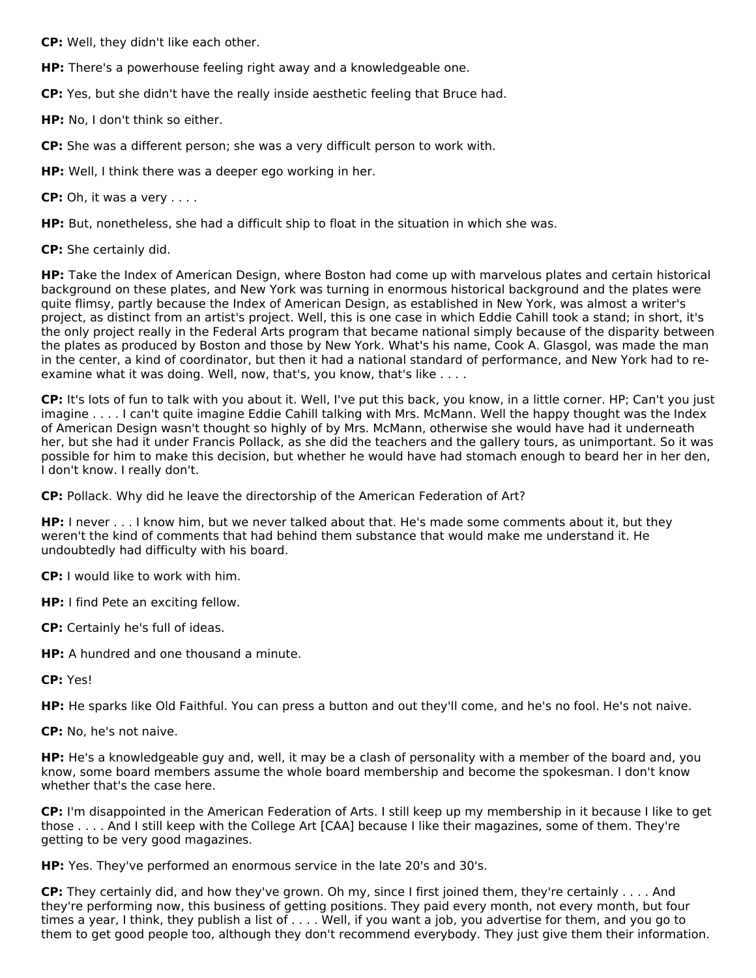**CP:** Well, they didn't like each other.

**HP:** There's a powerhouse feeling right away and a knowledgeable one.

**CP:** Yes, but she didn't have the really inside aesthetic feeling that Bruce had.

**HP:** No, I don't think so either.

**CP:** She was a different person; she was a very difficult person to work with.

**HP:** Well, I think there was a deeper ego working in her.

**CP:** Oh, it was a very . . . .

**HP:** But, nonetheless, she had a difficult ship to float in the situation in which she was.

**CP:** She certainly did.

**HP:** Take the Index of American Design, where Boston had come up with marvelous plates and certain historical background on these plates, and New York was turning in enormous historical background and the plates were quite flimsy, partly because the Index of American Design, as established in New York, was almost a writer's project, as distinct from an artist's project. Well, this is one case in which Eddie Cahill took a stand; in short, it's the only project really in the Federal Arts program that became national simply because of the disparity between the plates as produced by Boston and those by New York. What's his name, Cook A. Glasgol, was made the man in the center, a kind of coordinator, but then it had a national standard of performance, and New York had to reexamine what it was doing. Well, now, that's, you know, that's like . . . .

**CP:** It's lots of fun to talk with you about it. Well, I've put this back, you know, in a little corner. HP; Can't you just imagine . . . . I can't quite imagine Eddie Cahill talking with Mrs. McMann. Well the happy thought was the Index of American Design wasn't thought so highly of by Mrs. McMann, otherwise she would have had it underneath her, but she had it under Francis Pollack, as she did the teachers and the gallery tours, as unimportant. So it was possible for him to make this decision, but whether he would have had stomach enough to beard her in her den, I don't know. I really don't.

**CP:** Pollack. Why did he leave the directorship of the American Federation of Art?

**HP:** I never . . . I know him, but we never talked about that. He's made some comments about it, but they weren't the kind of comments that had behind them substance that would make me understand it. He undoubtedly had difficulty with his board.

**CP:** I would like to work with him.

**HP:** I find Pete an exciting fellow.

**CP:** Certainly he's full of ideas.

**HP:** A hundred and one thousand a minute.

**CP:** Yes!

**HP:** He sparks like Old Faithful. You can press a button and out they'll come, and he's no fool. He's not naive.

**CP:** No, he's not naive.

**HP:** He's a knowledgeable guy and, well, it may be a clash of personality with a member of the board and, you know, some board members assume the whole board membership and become the spokesman. I don't know whether that's the case here.

**CP:** I'm disappointed in the American Federation of Arts. I still keep up my membership in it because I like to get those . . . . And I still keep with the College Art [CAA] because I like their magazines, some of them. They're getting to be very good magazines.

**HP:** Yes. They've performed an enormous service in the late 20's and 30's.

**CP:** They certainly did, and how they've grown. Oh my, since I first joined them, they're certainly . . . . And they're performing now, this business of getting positions. They paid every month, not every month, but four times a year, I think, they publish a list of . . . . Well, if you want a job, you advertise for them, and you go to them to get good people too, although they don't recommend everybody. They just give them their information.